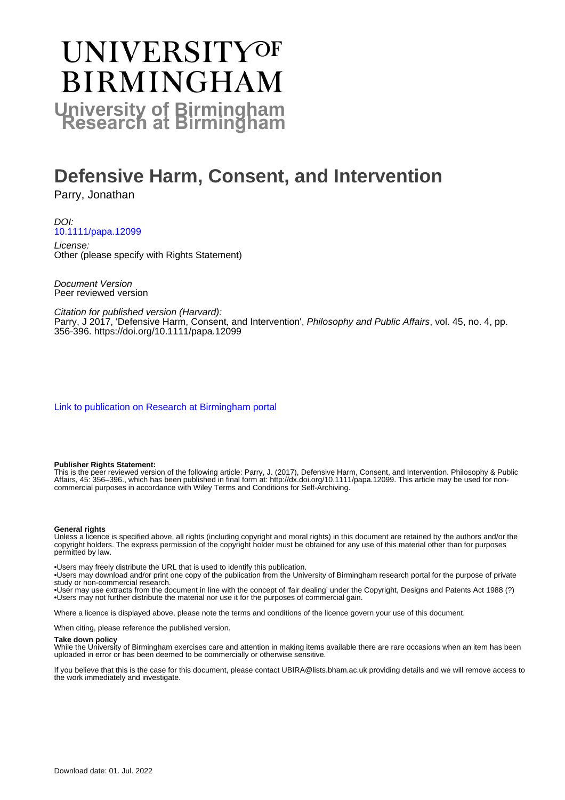# UNIVERSITYOF **BIRMINGHAM University of Birmingham**

# **Defensive Harm, Consent, and Intervention**

Parry, Jonathan

DOI: [10.1111/papa.12099](https://doi.org/10.1111/papa.12099)

License: Other (please specify with Rights Statement)

Document Version Peer reviewed version

Citation for published version (Harvard): Parry, J 2017, 'Defensive Harm, Consent, and Intervention', Philosophy and Public Affairs, vol. 45, no. 4, pp. 356-396.<https://doi.org/10.1111/papa.12099>

[Link to publication on Research at Birmingham portal](https://birmingham.elsevierpure.com/en/publications/2946f8b5-a88a-4b19-b672-d1245b450790)

#### **Publisher Rights Statement:**

This is the peer reviewed version of the following article: Parry, J. (2017), Defensive Harm, Consent, and Intervention. Philosophy & Public Affairs, 45: 356–396., which has been published in final form at: http://dx.doi.org/10.1111/papa.12099. This article may be used for noncommercial purposes in accordance with Wiley Terms and Conditions for Self-Archiving.

#### **General rights**

Unless a licence is specified above, all rights (including copyright and moral rights) in this document are retained by the authors and/or the copyright holders. The express permission of the copyright holder must be obtained for any use of this material other than for purposes permitted by law.

• Users may freely distribute the URL that is used to identify this publication.

• Users may download and/or print one copy of the publication from the University of Birmingham research portal for the purpose of private study or non-commercial research.

• User may use extracts from the document in line with the concept of 'fair dealing' under the Copyright, Designs and Patents Act 1988 (?) • Users may not further distribute the material nor use it for the purposes of commercial gain.

Where a licence is displayed above, please note the terms and conditions of the licence govern your use of this document.

When citing, please reference the published version.

#### **Take down policy**

While the University of Birmingham exercises care and attention in making items available there are rare occasions when an item has been uploaded in error or has been deemed to be commercially or otherwise sensitive.

If you believe that this is the case for this document, please contact UBIRA@lists.bham.ac.uk providing details and we will remove access to the work immediately and investigate.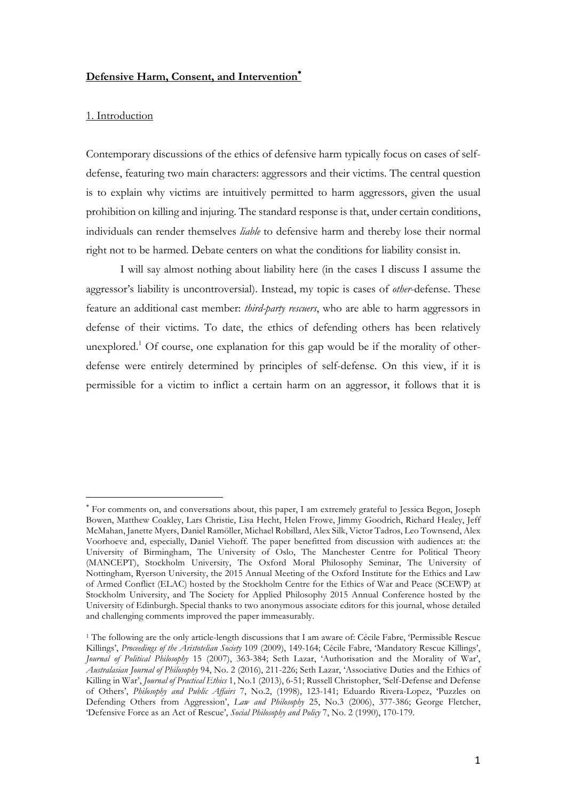#### **Defensive Harm, Consent, and Intervention**\*

#### 1. Introduction

 

Contemporary discussions of the ethics of defensive harm typically focus on cases of selfdefense, featuring two main characters: aggressors and their victims. The central question is to explain why victims are intuitively permitted to harm aggressors, given the usual prohibition on killing and injuring. The standard response is that, under certain conditions, individuals can render themselves *liable* to defensive harm and thereby lose their normal right not to be harmed. Debate centers on what the conditions for liability consist in.

I will say almost nothing about liability here (in the cases I discuss I assume the aggressor's liability is uncontroversial). Instead, my topic is cases of *other*-defense. These feature an additional cast member: *third-party rescuers*, who are able to harm aggressors in defense of their victims. To date, the ethics of defending others has been relatively unexplored.<sup>1</sup> Of course, one explanation for this gap would be if the morality of otherdefense were entirely determined by principles of self-defense. On this view, if it is permissible for a victim to inflict a certain harm on an aggressor, it follows that it is

<sup>\*</sup> For comments on, and conversations about, this paper, I am extremely grateful to Jessica Begon, Joseph Bowen, Matthew Coakley, Lars Christie, Lisa Hecht, Helen Frowe, Jimmy Goodrich, Richard Healey, Jeff McMahan, Janette Myers, Daniel Ramöller, Michael Robillard, Alex Silk, Victor Tadros, Leo Townsend, Alex Voorhoeve and, especially, Daniel Viehoff. The paper benefitted from discussion with audiences at: the University of Birmingham, The University of Oslo, The Manchester Centre for Political Theory (MANCEPT), Stockholm University, The Oxford Moral Philosophy Seminar, The University of Nottingham, Ryerson University, the 2015 Annual Meeting of the Oxford Institute for the Ethics and Law of Armed Conflict (ELAC) hosted by the Stockholm Centre for the Ethics of War and Peace (SCEWP) at Stockholm University, and The Society for Applied Philosophy 2015 Annual Conference hosted by the University of Edinburgh. Special thanks to two anonymous associate editors for this journal, whose detailed and challenging comments improved the paper immeasurably.

<sup>1</sup> The following are the only article-length discussions that I am aware of: Cécile Fabre, 'Permissible Rescue Killings', *Proceedings of the Aristotelian Society* 109 (2009), 149-164; Cécile Fabre, 'Mandatory Rescue Killings', *Journal of Political Philosophy* 15 (2007), 363-384; Seth Lazar, 'Authorisation and the Morality of War', *Australasian Journal of Philosophy* 94, No. 2 (2016), 211-226; Seth Lazar, 'Associative Duties and the Ethics of Killing in War', *Journal of Practical Ethics* 1, No.1 (2013), 6-51; Russell Christopher, 'Self-Defense and Defense of Others', *Philosophy and Public Affairs* 7, No.2, (1998), 123-141; Eduardo Rivera-Lopez, 'Puzzles on Defending Others from Aggression', *Law and Philosophy* 25, No.3 (2006), 377-386; George Fletcher, 'Defensive Force as an Act of Rescue', *Social Philosophy and Policy* 7, No. 2 (1990), 170-179.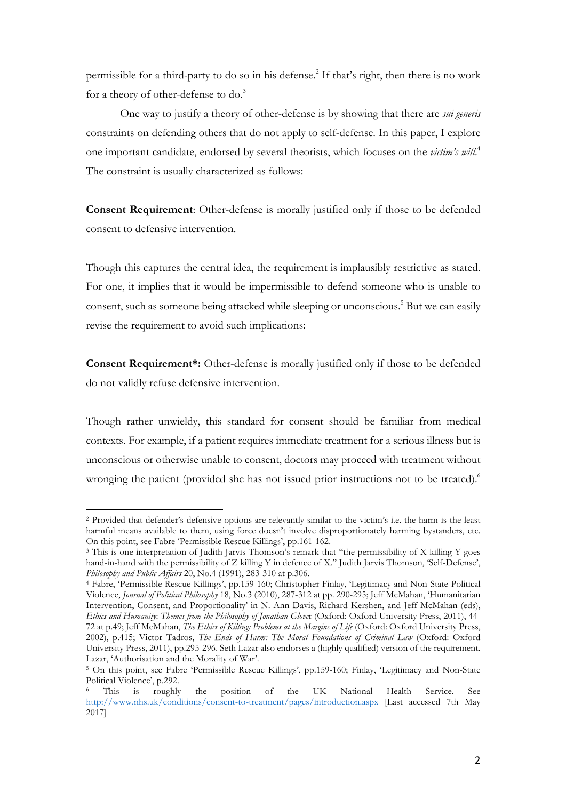permissible for a third-party to do so in his defense. <sup>2</sup> If that's right, then there is no work for a theory of other-defense to do.<sup>3</sup>

One way to justify a theory of other-defense is by showing that there are *sui generis* constraints on defending others that do not apply to self-defense. In this paper, I explore one important candidate, endorsed by several theorists, which focuses on the *victim's will*. 4 The constraint is usually characterized as follows:

**Consent Requirement**: Other-defense is morally justified only if those to be defended consent to defensive intervention.

Though this captures the central idea, the requirement is implausibly restrictive as stated. For one, it implies that it would be impermissible to defend someone who is unable to consent, such as someone being attacked while sleeping or unconscious.<sup>5</sup> But we can easily revise the requirement to avoid such implications:

**Consent Requirement\*:** Other-defense is morally justified only if those to be defended do not validly refuse defensive intervention.

Though rather unwieldy, this standard for consent should be familiar from medical contexts. For example, if a patient requires immediate treatment for a serious illness but is unconscious or otherwise unable to consent, doctors may proceed with treatment without wronging the patient (provided she has not issued prior instructions not to be treated).<sup>6</sup>

<sup>2</sup> Provided that defender's defensive options are relevantly similar to the victim's i.e. the harm is the least harmful means available to them, using force doesn't involve disproportionately harming bystanders, etc. On this point, see Fabre 'Permissible Rescue Killings', pp.161-162.

<sup>&</sup>lt;sup>3</sup> This is one interpretation of Judith Jarvis Thomson's remark that "the permissibility of X killing Y goes hand-in-hand with the permissibility of Z killing Y in defence of X." Judith Jarvis Thomson, 'Self-Defense', *Philosophy and Public Affairs* 20, No.4 (1991), 283-310 at p.306.

<sup>4</sup> Fabre, 'Permissible Rescue Killings', pp.159-160; Christopher Finlay, 'Legitimacy and Non-State Political Violence, *Journal of Political Philosophy* 18, No.3 (2010), 287-312 at pp. 290-295; Jeff McMahan, 'Humanitarian Intervention, Consent, and Proportionality' in N. Ann Davis, Richard Kershen, and Jeff McMahan (eds), *Ethics and Humanity*: *Themes from the Philosophy of Jonathan Glove*r (Oxford: Oxford University Press, 2011), 44- 72 at p.49; Jeff McMahan, *The Ethics of Killing: Problems at the Margins of Life* (Oxford: Oxford University Press, 2002), p.415; Victor Tadros, *The Ends of Harm: The Moral Foundations of Criminal Law* (Oxford: Oxford University Press, 2011), pp.295-296. Seth Lazar also endorses a (highly qualified) version of the requirement. Lazar, 'Authorisation and the Morality of War'.

<sup>5</sup> On this point, see Fabre 'Permissible Rescue Killings', pp.159-160; Finlay, 'Legitimacy and Non-State Political Violence', p.292.

This is roughly the position of the UK National Health Service. See http://www.nhs.uk/conditions/consent-to-treatment/pages/introduction.aspx [Last accessed 7th May 2017]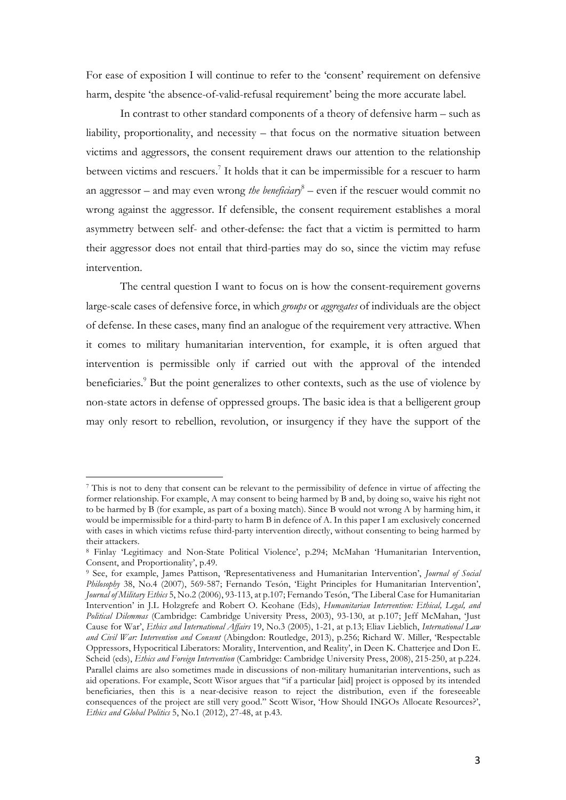For ease of exposition I will continue to refer to the 'consent' requirement on defensive harm, despite 'the absence-of-valid-refusal requirement' being the more accurate label.

In contrast to other standard components of a theory of defensive harm – such as liability, proportionality, and necessity – that focus on the normative situation between victims and aggressors, the consent requirement draws our attention to the relationship between victims and rescuers.<sup>7</sup> It holds that it can be impermissible for a rescuer to harm an aggressor – and may even wrong *the beneficiary*<sup>8</sup> – even if the rescuer would commit no wrong against the aggressor. If defensible, the consent requirement establishes a moral asymmetry between self- and other-defense: the fact that a victim is permitted to harm their aggressor does not entail that third-parties may do so, since the victim may refuse intervention.

The central question I want to focus on is how the consent-requirement governs large-scale cases of defensive force, in which *groups* or *aggregates* of individuals are the object of defense. In these cases, many find an analogue of the requirement very attractive. When it comes to military humanitarian intervention, for example, it is often argued that intervention is permissible only if carried out with the approval of the intended beneficiaries.<sup>9</sup> But the point generalizes to other contexts, such as the use of violence by non-state actors in defense of oppressed groups. The basic idea is that a belligerent group may only resort to rebellion, revolution, or insurgency if they have the support of the

<sup>7</sup> This is not to deny that consent can be relevant to the permissibility of defence in virtue of affecting the former relationship. For example, A may consent to being harmed by B and, by doing so, waive his right not to be harmed by B (for example, as part of a boxing match). Since B would not wrong A by harming him, it would be impermissible for a third-party to harm B in defence of A. In this paper I am exclusively concerned with cases in which victims refuse third-party intervention directly, without consenting to being harmed by their attackers.

<sup>8</sup> Finlay 'Legitimacy and Non-State Political Violence', p.294; McMahan 'Humanitarian Intervention, Consent, and Proportionality', p.49.

<sup>9</sup> See, for example, James Pattison, 'Representativeness and Humanitarian Intervention', *Journal of Social Philosophy* 38, No.4 (2007), 569-587; Fernando Tesón, 'Eight Principles for Humanitarian Intervention', *Journal of Military Ethics* 5, No.2 (2006), 93-113, at p.107; Fernando Tesón, 'The Liberal Case for Humanitarian Intervention' in J.L Holzgrefe and Robert O. Keohane (Eds), *Humanitarian Intervention: Ethical, Legal, and Political Dilemmas* (Cambridge: Cambridge University Press, 2003), 93-130, at p.107; Jeff McMahan, 'Just Cause for War', *Ethics and International Affairs* 19, No.3 (2005), 1-21, at p.13; Eliav Lieblich, *International Law and Civil War: Intervention and Consent* (Abingdon: Routledge, 2013), p.256; Richard W. Miller, 'Respectable Oppressors, Hypocritical Liberators: Morality, Intervention, and Reality', in Deen K. Chatterjee and Don E. Scheid (eds), *Ethics and Foreign Intervention* (Cambridge: Cambridge University Press, 2008), 215-250, at p.224. Parallel claims are also sometimes made in discussions of non-military humanitarian interventions, such as aid operations. For example, Scott Wisor argues that "if a particular [aid] project is opposed by its intended beneficiaries, then this is a near-decisive reason to reject the distribution, even if the foreseeable consequences of the project are still very good." Scott Wisor, 'How Should INGOs Allocate Resources?', *Ethics and Global Politics* 5, No.1 (2012), 27-48, at p.43.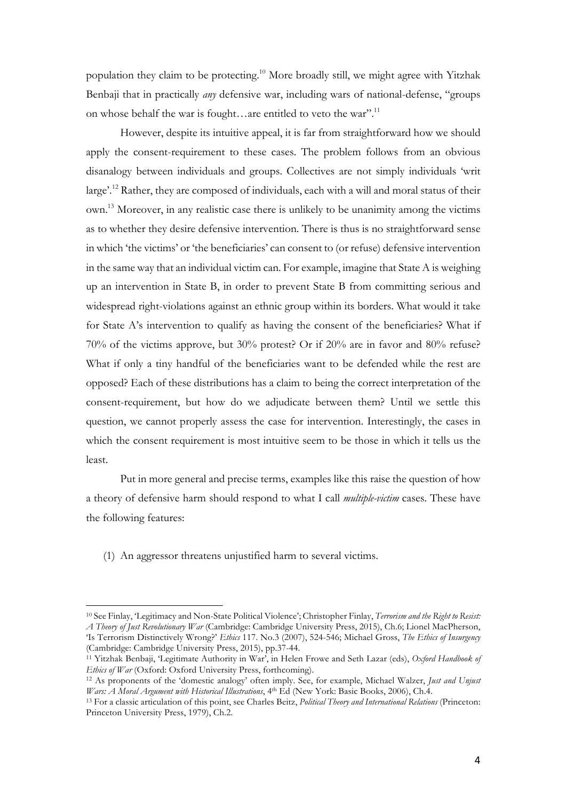population they claim to be protecting.10 More broadly still, we might agree with Yitzhak Benbaji that in practically *any* defensive war, including wars of national-defense, "groups on whose behalf the war is fought…are entitled to veto the war".<sup>11</sup>

However, despite its intuitive appeal, it is far from straightforward how we should apply the consent-requirement to these cases. The problem follows from an obvious disanalogy between individuals and groups. Collectives are not simply individuals 'writ large'.12 Rather, they are composed of individuals, each with a will and moral status of their own. <sup>13</sup> Moreover, in any realistic case there is unlikely to be unanimity among the victims as to whether they desire defensive intervention. There is thus is no straightforward sense in which 'the victims' or 'the beneficiaries' can consent to (or refuse) defensive intervention in the same way that an individual victim can. For example, imagine that State A is weighing up an intervention in State B, in order to prevent State B from committing serious and widespread right-violations against an ethnic group within its borders. What would it take for State A's intervention to qualify as having the consent of the beneficiaries? What if 70% of the victims approve, but 30% protest? Or if 20% are in favor and 80% refuse? What if only a tiny handful of the beneficiaries want to be defended while the rest are opposed? Each of these distributions has a claim to being the correct interpretation of the consent-requirement, but how do we adjudicate between them? Until we settle this question, we cannot properly assess the case for intervention. Interestingly, the cases in which the consent requirement is most intuitive seem to be those in which it tells us the least.

Put in more general and precise terms, examples like this raise the question of how a theory of defensive harm should respond to what I call *multiple-victim* cases. These have the following features:

(1) An aggressor threatens unjustified harm to several victims.

<sup>10</sup> See Finlay, 'Legitimacy and Non-State Political Violence'; Christopher Finlay, *Terrorism and the Right to Resist: A Theory of Just Revolutionary War* (Cambridge: Cambridge University Press, 2015), Ch.6; Lionel MacPherson, 'Is Terrorism Distinctively Wrong?' *Ethics* 117. No.3 (2007), 524-546; Michael Gross, *The Ethics of Insurgency* (Cambridge: Cambridge University Press, 2015), pp.37-44.

<sup>&</sup>lt;sup>11</sup> Yitzhak Benbaji, 'Legitimate Authority in War', in Helen Frowe and Seth Lazar (eds), *Oxford Handbook of Ethics of War* (Oxford: Oxford University Press, forthcoming).

<sup>&</sup>lt;sup>12</sup> As proponents of the 'domestic analogy' often imply. See, for example, Michael Walzer, *Just and Unjust Wars: A Moral Argument with Historical Illustrations*, 4th Ed (New York: Basic Books, 2006), Ch.4.

<sup>13</sup> For a classic articulation of this point, see Charles Beitz, *Political Theory and International Relations* (Princeton: Princeton University Press, 1979), Ch.2.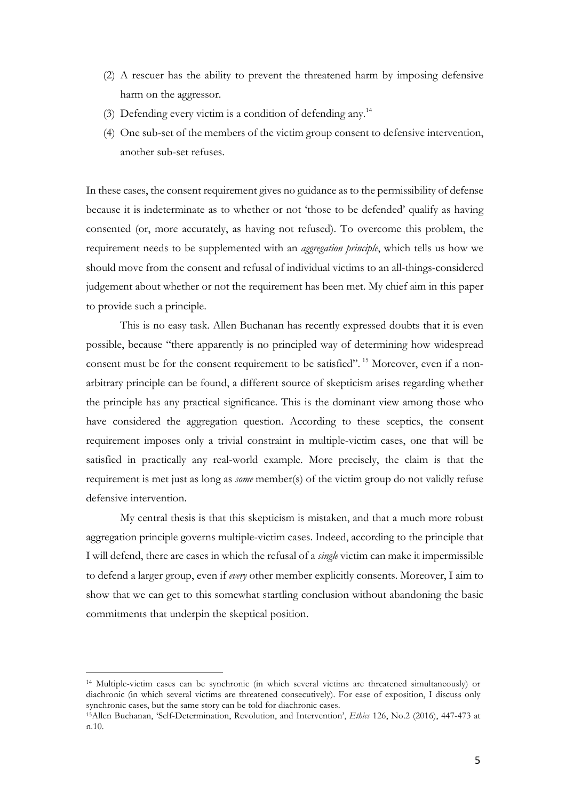- (2) A rescuer has the ability to prevent the threatened harm by imposing defensive harm on the aggressor.
- (3) Defending every victim is a condition of defending any.14
- (4) One sub-set of the members of the victim group consent to defensive intervention, another sub-set refuses.

In these cases, the consent requirement gives no guidance as to the permissibility of defense because it is indeterminate as to whether or not 'those to be defended' qualify as having consented (or, more accurately, as having not refused). To overcome this problem, the requirement needs to be supplemented with an *aggregation principle*, which tells us how we should move from the consent and refusal of individual victims to an all-things-considered judgement about whether or not the requirement has been met. My chief aim in this paper to provide such a principle.

This is no easy task. Allen Buchanan has recently expressed doubts that it is even possible, because "there apparently is no principled way of determining how widespread consent must be for the consent requirement to be satisfied".<sup>15</sup> Moreover, even if a nonarbitrary principle can be found, a different source of skepticism arises regarding whether the principle has any practical significance. This is the dominant view among those who have considered the aggregation question. According to these sceptics, the consent requirement imposes only a trivial constraint in multiple-victim cases, one that will be satisfied in practically any real-world example. More precisely, the claim is that the requirement is met just as long as *some* member(s) of the victim group do not validly refuse defensive intervention.

My central thesis is that this skepticism is mistaken, and that a much more robust aggregation principle governs multiple-victim cases. Indeed, according to the principle that I will defend, there are cases in which the refusal of a *single* victim can make it impermissible to defend a larger group, even if *every* other member explicitly consents. Moreover, I aim to show that we can get to this somewhat startling conclusion without abandoning the basic commitments that underpin the skeptical position.

<sup>14</sup> Multiple-victim cases can be synchronic (in which several victims are threatened simultaneously) or diachronic (in which several victims are threatened consecutively). For ease of exposition, I discuss only synchronic cases, but the same story can be told for diachronic cases.

<sup>15</sup>Allen Buchanan, 'Self-Determination, Revolution, and Intervention', *Ethics* 126, No.2 (2016), 447-473 at n.10.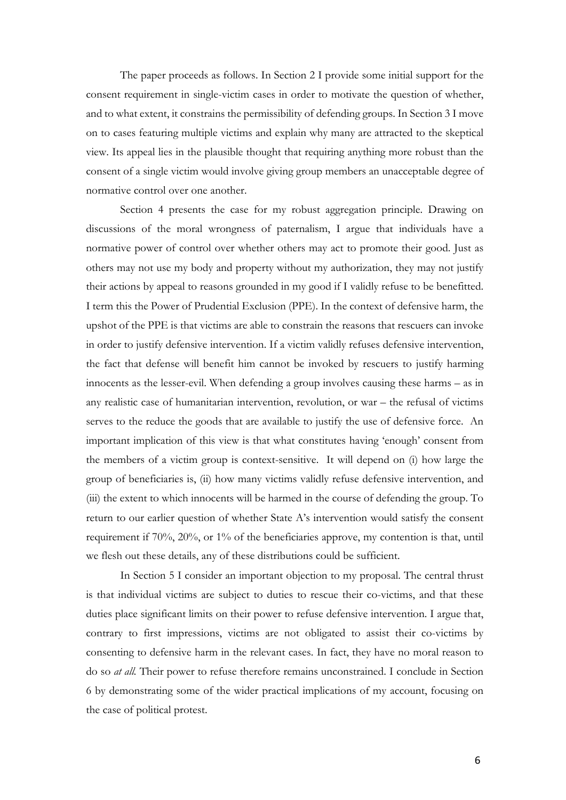The paper proceeds as follows. In Section 2 I provide some initial support for the consent requirement in single-victim cases in order to motivate the question of whether, and to what extent, it constrains the permissibility of defending groups. In Section 3 I move on to cases featuring multiple victims and explain why many are attracted to the skeptical view. Its appeal lies in the plausible thought that requiring anything more robust than the consent of a single victim would involve giving group members an unacceptable degree of normative control over one another.

Section 4 presents the case for my robust aggregation principle. Drawing on discussions of the moral wrongness of paternalism, I argue that individuals have a normative power of control over whether others may act to promote their good. Just as others may not use my body and property without my authorization, they may not justify their actions by appeal to reasons grounded in my good if I validly refuse to be benefitted. I term this the Power of Prudential Exclusion (PPE). In the context of defensive harm, the upshot of the PPE is that victims are able to constrain the reasons that rescuers can invoke in order to justify defensive intervention. If a victim validly refuses defensive intervention, the fact that defense will benefit him cannot be invoked by rescuers to justify harming innocents as the lesser-evil. When defending a group involves causing these harms – as in any realistic case of humanitarian intervention, revolution, or war – the refusal of victims serves to the reduce the goods that are available to justify the use of defensive force. An important implication of this view is that what constitutes having 'enough' consent from the members of a victim group is context-sensitive. It will depend on (i) how large the group of beneficiaries is, (ii) how many victims validly refuse defensive intervention, and (iii) the extent to which innocents will be harmed in the course of defending the group. To return to our earlier question of whether State A's intervention would satisfy the consent requirement if 70%, 20%, or 1% of the beneficiaries approve, my contention is that, until we flesh out these details, any of these distributions could be sufficient.

In Section 5 I consider an important objection to my proposal. The central thrust is that individual victims are subject to duties to rescue their co-victims, and that these duties place significant limits on their power to refuse defensive intervention. I argue that, contrary to first impressions, victims are not obligated to assist their co-victims by consenting to defensive harm in the relevant cases. In fact, they have no moral reason to do so *at all.* Their power to refuse therefore remains unconstrained. I conclude in Section 6 by demonstrating some of the wider practical implications of my account, focusing on the case of political protest.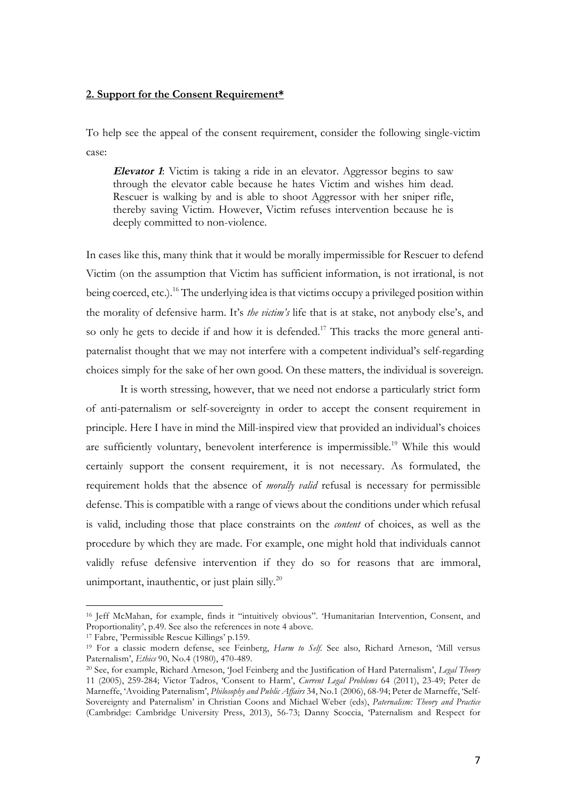## **2. Support for the Consent Requirement\***

To help see the appeal of the consent requirement, consider the following single-victim case:

**Elevator 1**: Victim is taking a ride in an elevator. Aggressor begins to saw through the elevator cable because he hates Victim and wishes him dead. Rescuer is walking by and is able to shoot Aggressor with her sniper rifle, thereby saving Victim. However, Victim refuses intervention because he is deeply committed to non-violence.

In cases like this, many think that it would be morally impermissible for Rescuer to defend Victim (on the assumption that Victim has sufficient information, is not irrational, is not being coerced, etc.).<sup>16</sup> The underlying idea is that victims occupy a privileged position within the morality of defensive harm. It's *the victim's* life that is at stake, not anybody else's, and so only he gets to decide if and how it is defended.<sup>17</sup> This tracks the more general antipaternalist thought that we may not interfere with a competent individual's self-regarding choices simply for the sake of her own good. On these matters, the individual is sovereign.

It is worth stressing, however, that we need not endorse a particularly strict form of anti-paternalism or self-sovereignty in order to accept the consent requirement in principle. Here I have in mind the Mill-inspired view that provided an individual's choices are sufficiently voluntary, benevolent interference is impermissible.<sup>19</sup> While this would certainly support the consent requirement, it is not necessary. As formulated, the requirement holds that the absence of *morally valid* refusal is necessary for permissible defense. This is compatible with a range of views about the conditions under which refusal is valid, including those that place constraints on the *content* of choices, as well as the procedure by which they are made. For example, one might hold that individuals cannot validly refuse defensive intervention if they do so for reasons that are immoral, unimportant, inauthentic, or just plain silly. $^{20}$ 

<sup>16</sup> Jeff McMahan, for example, finds it "intuitively obvious". 'Humanitarian Intervention, Consent, and Proportionality', p.49. See also the references in note 4 above.

<sup>17</sup> Fabre, 'Permissible Rescue Killings' p.159.

<sup>19</sup> For a classic modern defense, see Feinberg, *Harm to Self*. See also, Richard Arneson, 'Mill versus Paternalism', *Ethics* 90, No.4 (1980), 470-489.

<sup>20</sup> See, for example, Richard Arneson, 'Joel Feinberg and the Justification of Hard Paternalism', *Legal Theory* 11 (2005), 259-284; Victor Tadros, 'Consent to Harm', *Current Legal Problems* 64 (2011), 23-49; Peter de Marneffe, 'Avoiding Paternalism', *Philosophy and Public Affairs* 34, No.1 (2006), 68-94; Peter de Marneffe, 'Self-Sovereignty and Paternalism' in Christian Coons and Michael Weber (eds), *Paternalism: Theory and Practice* (Cambridge: Cambridge University Press, 2013), 56-73; Danny Scoccia, 'Paternalism and Respect for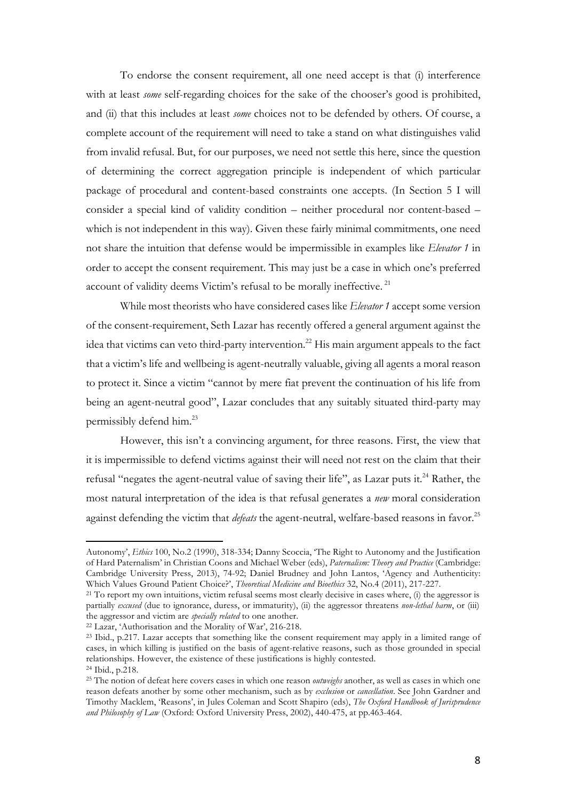To endorse the consent requirement, all one need accept is that (i) interference with at least *some* self-regarding choices for the sake of the chooser's good is prohibited, and (ii) that this includes at least *some* choices not to be defended by others. Of course, a complete account of the requirement will need to take a stand on what distinguishes valid from invalid refusal. But, for our purposes, we need not settle this here, since the question of determining the correct aggregation principle is independent of which particular package of procedural and content-based constraints one accepts. (In Section 5 I will consider a special kind of validity condition – neither procedural nor content-based – which is not independent in this way). Given these fairly minimal commitments, one need not share the intuition that defense would be impermissible in examples like *Elevator 1* in order to accept the consent requirement. This may just be a case in which one's preferred account of validity deems Victim's refusal to be morally ineffective. <sup>21</sup>

While most theorists who have considered cases like *Elevator 1* accept some version of the consent-requirement, Seth Lazar has recently offered a general argument against the idea that victims can veto third-party intervention.<sup>22</sup> His main argument appeals to the fact that a victim's life and wellbeing is agent-neutrally valuable, giving all agents a moral reason to protect it. Since a victim "cannot by mere fiat prevent the continuation of his life from being an agent-neutral good", Lazar concludes that any suitably situated third-party may permissibly defend him.23

However, this isn't a convincing argument, for three reasons. First, the view that it is impermissible to defend victims against their will need not rest on the claim that their refusal "negates the agent-neutral value of saving their life", as Lazar puts it.<sup>24</sup> Rather, the most natural interpretation of the idea is that refusal generates a *new* moral consideration against defending the victim that *defeats* the agent-neutral, welfare-based reasons in favor. 25

Autonomy', *Ethics* 100, No.2 (1990), 318-334; Danny Scoccia, 'The Right to Autonomy and the Justification of Hard Paternalism' in Christian Coons and Michael Weber (eds), *Paternalism: Theory and Practice* (Cambridge: Cambridge University Press, 2013), 74-92; Daniel Brudney and John Lantos, 'Agency and Authenticity: Which Values Ground Patient Choice?', *Theoretical Medicine and Bioethics* 32, No.4 (2011), 217-227.<br><sup>21</sup> To report my own intuitions, victim refusal seems most clearly decisive in cases where, (i) the aggressor is

partially *excused* (due to ignorance, duress, or immaturity), (ii) the aggressor threatens *non-lethal harm*, or (iii) the aggressor and victim are *specially related* to one another.

<sup>22</sup> Lazar, 'Authorisation and the Morality of War', 216-218.

<sup>23</sup> Ibid., p.217. Lazar accepts that something like the consent requirement may apply in a limited range of cases, in which killing is justified on the basis of agent-relative reasons, such as those grounded in special relationships. However, the existence of these justifications is highly contested.

<sup>24</sup> Ibid., p.218.

<sup>25</sup> The notion of defeat here covers cases in which one reason *outweighs* another, as well as cases in which one reason defeats another by some other mechanism, such as by *exclusion* or *cancellation*. See John Gardner and Timothy Macklem, 'Reasons', in Jules Coleman and Scott Shapiro (eds), *The Oxford Handbook of Jurisprudence and Philosophy of Law* (Oxford: Oxford University Press, 2002), 440-475, at pp.463-464.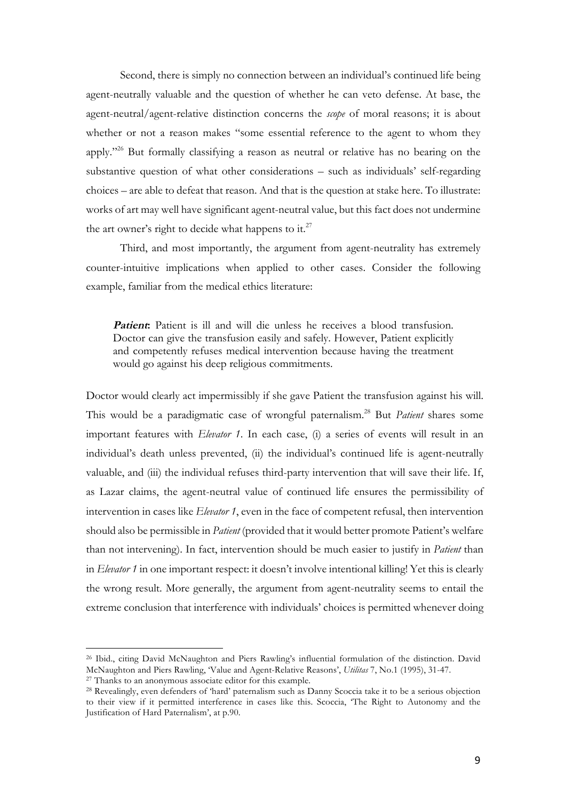Second, there is simply no connection between an individual's continued life being agent-neutrally valuable and the question of whether he can veto defense. At base, the agent-neutral/agent-relative distinction concerns the *scope* of moral reasons; it is about whether or not a reason makes "some essential reference to the agent to whom they apply."26 But formally classifying a reason as neutral or relative has no bearing on the substantive question of what other considerations – such as individuals' self-regarding choices – are able to defeat that reason. And that is the question at stake here. To illustrate: works of art may well have significant agent-neutral value, but this fact does not undermine the art owner's right to decide what happens to it.<sup>27</sup>

Third, and most importantly, the argument from agent-neutrality has extremely counter-intuitive implications when applied to other cases. Consider the following example, familiar from the medical ethics literature:

**Patient:** Patient is ill and will die unless he receives a blood transfusion. Doctor can give the transfusion easily and safely. However, Patient explicitly and competently refuses medical intervention because having the treatment would go against his deep religious commitments.

Doctor would clearly act impermissibly if she gave Patient the transfusion against his will. This would be a paradigmatic case of wrongful paternalism.28 But *Patient* shares some important features with *Elevator 1*. In each case, (i) a series of events will result in an individual's death unless prevented, (ii) the individual's continued life is agent-neutrally valuable, and (iii) the individual refuses third-party intervention that will save their life. If, as Lazar claims, the agent-neutral value of continued life ensures the permissibility of intervention in cases like *Elevator 1*, even in the face of competent refusal, then intervention should also be permissible in *Patient* (provided that it would better promote Patient's welfare than not intervening). In fact, intervention should be much easier to justify in *Patient* than in *Elevator 1* in one important respect: it doesn't involve intentional killing! Yet this is clearly the wrong result. More generally, the argument from agent-neutrality seems to entail the extreme conclusion that interference with individuals' choices is permitted whenever doing

<sup>26</sup> Ibid., citing David McNaughton and Piers Rawling's influential formulation of the distinction. David McNaughton and Piers Rawling, 'Value and Agent-Relative Reasons', *Utilitas* 7, No.1 (1995), 31-47.

<sup>27</sup> Thanks to an anonymous associate editor for this example.

<sup>28</sup> Revealingly, even defenders of 'hard' paternalism such as Danny Scoccia take it to be a serious objection to their view if it permitted interference in cases like this. Scoccia, 'The Right to Autonomy and the Justification of Hard Paternalism', at p.90.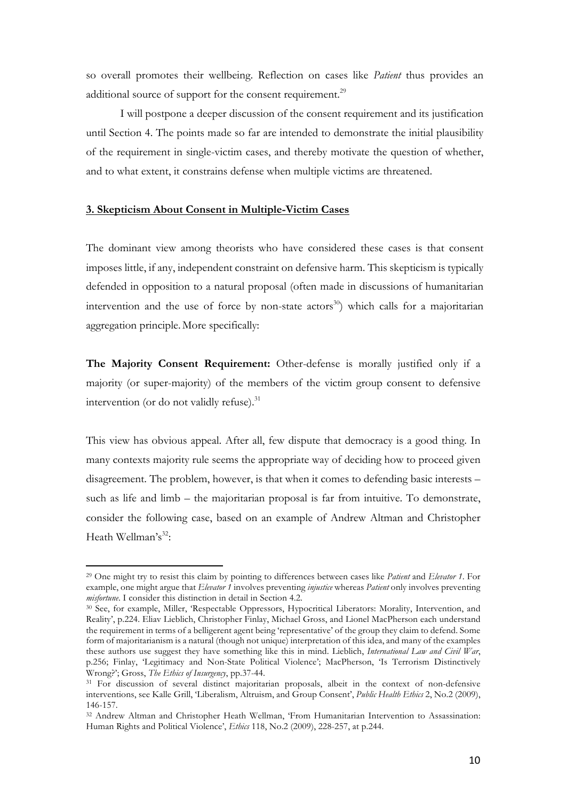so overall promotes their wellbeing. Reflection on cases like *Patient* thus provides an additional source of support for the consent requirement.<sup>29</sup>

I will postpone a deeper discussion of the consent requirement and its justification until Section 4. The points made so far are intended to demonstrate the initial plausibility of the requirement in single-victim cases, and thereby motivate the question of whether, and to what extent, it constrains defense when multiple victims are threatened.

#### **3. Skepticism About Consent in Multiple-Victim Cases**

The dominant view among theorists who have considered these cases is that consent imposes little, if any, independent constraint on defensive harm. This skepticism is typically defended in opposition to a natural proposal (often made in discussions of humanitarian intervention and the use of force by non-state actors<sup>30</sup>) which calls for a majoritarian aggregation principle. More specifically:

**The Majority Consent Requirement:** Other-defense is morally justified only if a majority (or super-majority) of the members of the victim group consent to defensive intervention (or do not validly refuse).<sup>31</sup>

This view has obvious appeal. After all, few dispute that democracy is a good thing. In many contexts majority rule seems the appropriate way of deciding how to proceed given disagreement. The problem, however, is that when it comes to defending basic interests – such as life and limb – the majoritarian proposal is far from intuitive. To demonstrate, consider the following case, based on an example of Andrew Altman and Christopher Heath Wellman's<sup>32</sup>:

<sup>29</sup> One might try to resist this claim by pointing to differences between cases like *Patient* and *Elevator 1*. For example, one might argue that *Elevator 1* involves preventing *injustice* whereas *Patient* only involves preventing *misfortune*. I consider this distinction in detail in Section 4.2.

<sup>30</sup> See, for example, Miller, 'Respectable Oppressors, Hypocritical Liberators: Morality, Intervention, and Reality', p.224. Eliav Lieblich, Christopher Finlay, Michael Gross, and Lionel MacPherson each understand the requirement in terms of a belligerent agent being 'representative' of the group they claim to defend. Some form of majoritarianism is a natural (though not unique) interpretation of this idea, and many of the examples these authors use suggest they have something like this in mind. Lieblich, *International Law and Civil War*, p.256; Finlay, 'Legitimacy and Non-State Political Violence'; MacPherson, 'Is Terrorism Distinctively Wrong?'; Gross, *The Ethics of Insurgency*, pp.37-44.

<sup>&</sup>lt;sup>31</sup> For discussion of several distinct majoritarian proposals, albeit in the context of non-defensive interventions, see Kalle Grill, 'Liberalism, Altruism, and Group Consent', *Public Health Ethics* 2, No.2 (2009), 146-157.

<sup>32</sup> Andrew Altman and Christopher Heath Wellman, 'From Humanitarian Intervention to Assassination: Human Rights and Political Violence', *Ethics* 118, No.2 (2009), 228-257, at p.244.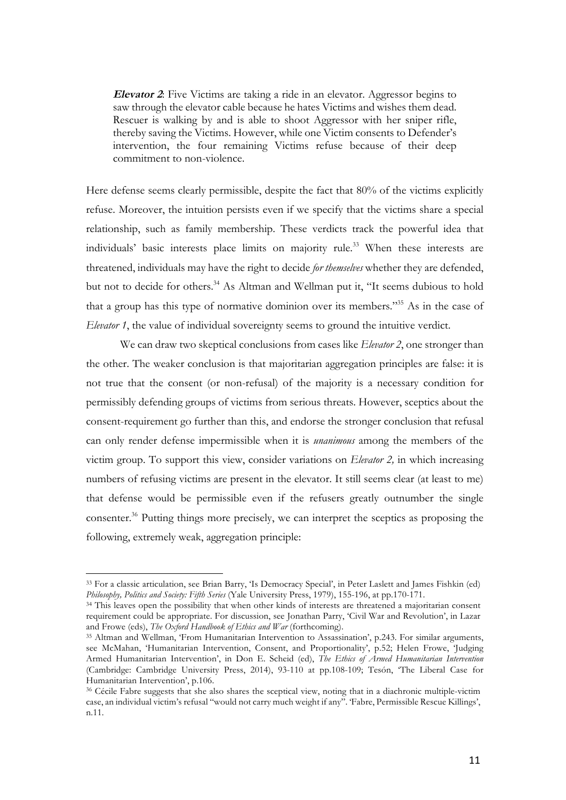**Elevator 2**: Five Victims are taking a ride in an elevator. Aggressor begins to saw through the elevator cable because he hates Victims and wishes them dead. Rescuer is walking by and is able to shoot Aggressor with her sniper rifle, thereby saving the Victims. However, while one Victim consents to Defender's intervention, the four remaining Victims refuse because of their deep commitment to non-violence.

Here defense seems clearly permissible, despite the fact that 80% of the victims explicitly refuse. Moreover, the intuition persists even if we specify that the victims share a special relationship, such as family membership. These verdicts track the powerful idea that individuals' basic interests place limits on majority rule.<sup>33</sup> When these interests are threatened, individuals may have the right to decide *for themselves* whether they are defended, but not to decide for others.<sup>34</sup> As Altman and Wellman put it, "It seems dubious to hold that a group has this type of normative dominion over its members."35 As in the case of *Elevator 1*, the value of individual sovereignty seems to ground the intuitive verdict.

We can draw two skeptical conclusions from cases like *Elevator 2*, one stronger than the other. The weaker conclusion is that majoritarian aggregation principles are false: it is not true that the consent (or non-refusal) of the majority is a necessary condition for permissibly defending groups of victims from serious threats. However, sceptics about the consent-requirement go further than this, and endorse the stronger conclusion that refusal can only render defense impermissible when it is *unanimous* among the members of the victim group. To support this view, consider variations on *Elevator 2,* in which increasing numbers of refusing victims are present in the elevator. It still seems clear (at least to me) that defense would be permissible even if the refusers greatly outnumber the single consenter.36 Putting things more precisely, we can interpret the sceptics as proposing the following, extremely weak, aggregation principle:

<sup>33</sup> For a classic articulation, see Brian Barry, 'Is Democracy Special', in Peter Laslett and James Fishkin (ed) *Philosophy, Politics and Society: Fifth Series* (Yale University Press, 1979), 155-196, at pp.170-171.

<sup>&</sup>lt;sup>34</sup> This leaves open the possibility that when other kinds of interests are threatened a majoritarian consent requirement could be appropriate. For discussion, see Jonathan Parry, 'Civil War and Revolution', in Lazar and Frowe (eds), *The Oxford Handbook of Ethics and War* (forthcoming).

<sup>35</sup> Altman and Wellman, 'From Humanitarian Intervention to Assassination', p.243. For similar arguments, see McMahan, 'Humanitarian Intervention, Consent, and Proportionality', p.52; Helen Frowe, 'Judging Armed Humanitarian Intervention', in Don E. Scheid (ed), *The Ethics of Armed Humanitarian Intervention*  (Cambridge: Cambridge University Press, 2014), 93-110 at pp.108-109; Tesón, 'The Liberal Case for Humanitarian Intervention', p.106.

<sup>36</sup> Cécile Fabre suggests that she also shares the sceptical view, noting that in a diachronic multiple-victim case, an individual victim's refusal "would not carry much weight if any". 'Fabre, Permissible Rescue Killings', n.11.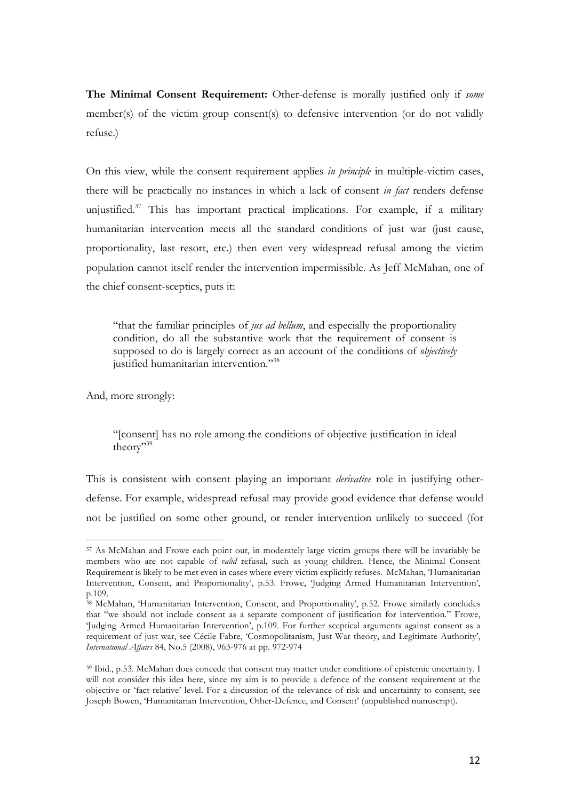**The Minimal Consent Requirement:** Other-defense is morally justified only if *some*  member(s) of the victim group consent(s) to defensive intervention (or do not validly refuse.)

On this view, while the consent requirement applies *in principle* in multiple-victim cases, there will be practically no instances in which a lack of consent *in fact* renders defense unjustified. $37$  This has important practical implications. For example, if a military humanitarian intervention meets all the standard conditions of just war (just cause, proportionality, last resort, etc.) then even very widespread refusal among the victim population cannot itself render the intervention impermissible. As Jeff McMahan, one of the chief consent-sceptics, puts it:

"that the familiar principles of *jus ad bellum*, and especially the proportionality condition, do all the substantive work that the requirement of consent is supposed to do is largely correct as an account of the conditions of *objectively* justified humanitarian intervention."<sup>38</sup>

And, more strongly:

"[consent] has no role among the conditions of objective justification in ideal theory"<sup>39</sup>

This is consistent with consent playing an important *derivative* role in justifying otherdefense. For example, widespread refusal may provide good evidence that defense would not be justified on some other ground, or render intervention unlikely to succeed (for

 <sup>37</sup> As McMahan and Frowe each point out, in moderately large victim groups there will be invariably be members who are not capable of *valid* refusal, such as young children. Hence, the Minimal Consent Requirement is likely to be met even in cases where every victim explicitly refuses. McMahan, 'Humanitarian Intervention, Consent, and Proportionality', p.53. Frowe, 'Judging Armed Humanitarian Intervention', p.109.

<sup>38</sup> McMahan, 'Humanitarian Intervention, Consent, and Proportionality', p.52. Frowe similarly concludes that "we should not include consent as a separate component of justification for intervention." Frowe, 'Judging Armed Humanitarian Intervention', p.109. For further sceptical arguments against consent as a requirement of just war, see Cécile Fabre, 'Cosmopolitanism, Just War theory, and Legitimate Authority', *International Affairs* 84, No.5 (2008), 963-976 at pp. 972-974

<sup>39</sup> Ibid., p.53. McMahan does concede that consent may matter under conditions of epistemic uncertainty. I will not consider this idea here, since my aim is to provide a defence of the consent requirement at the objective or 'fact-relative' level. For a discussion of the relevance of risk and uncertainty to consent, see Joseph Bowen, 'Humanitarian Intervention, Other-Defence, and Consent' (unpublished manuscript).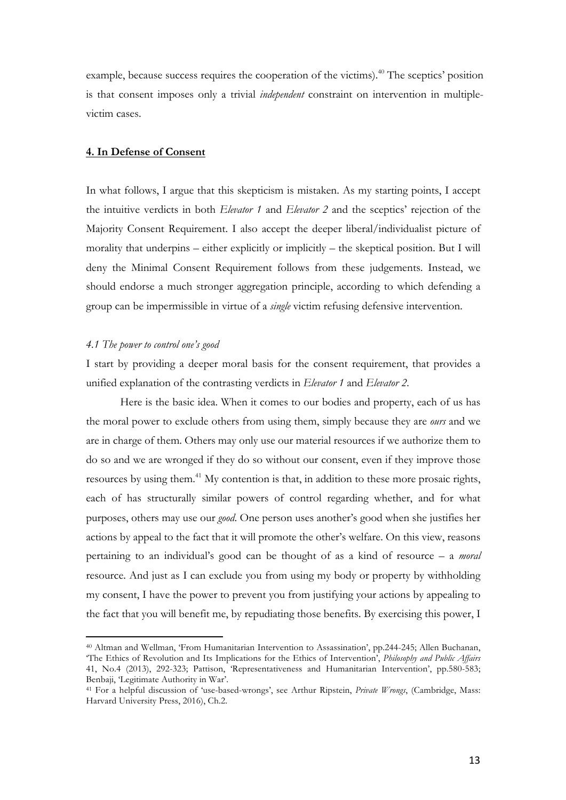example, because success requires the cooperation of the victims).<sup>40</sup> The sceptics' position is that consent imposes only a trivial *independent* constraint on intervention in multiplevictim cases.

#### **4. In Defense of Consent**

In what follows, I argue that this skepticism is mistaken. As my starting points, I accept the intuitive verdicts in both *Elevator 1* and *Elevator 2* and the sceptics' rejection of the Majority Consent Requirement. I also accept the deeper liberal/individualist picture of morality that underpins – either explicitly or implicitly – the skeptical position. But I will deny the Minimal Consent Requirement follows from these judgements. Instead, we should endorse a much stronger aggregation principle, according to which defending a group can be impermissible in virtue of a *single* victim refusing defensive intervention.

#### *4.1 The power to control one's good*

 

I start by providing a deeper moral basis for the consent requirement, that provides a unified explanation of the contrasting verdicts in *Elevator 1* and *Elevator 2*.

Here is the basic idea. When it comes to our bodies and property, each of us has the moral power to exclude others from using them, simply because they are *ours* and we are in charge of them. Others may only use our material resources if we authorize them to do so and we are wronged if they do so without our consent, even if they improve those resources by using them.<sup>41</sup> My contention is that, in addition to these more prosaic rights, each of has structurally similar powers of control regarding whether, and for what purposes, others may use our *good*. One person uses another's good when she justifies her actions by appeal to the fact that it will promote the other's welfare. On this view, reasons pertaining to an individual's good can be thought of as a kind of resource – a *moral* resource. And just as I can exclude you from using my body or property by withholding my consent, I have the power to prevent you from justifying your actions by appealing to the fact that you will benefit me, by repudiating those benefits. By exercising this power, I

<sup>40</sup> Altman and Wellman, 'From Humanitarian Intervention to Assassination', pp.244-245; Allen Buchanan, 'The Ethics of Revolution and Its Implications for the Ethics of Intervention', *Philosophy and Public Affairs* 41, No.4 (2013), 292-323; Pattison, 'Representativeness and Humanitarian Intervention', pp.580-583; Benbaji, 'Legitimate Authority in War'.

<sup>41</sup> For a helpful discussion of 'use-based-wrongs', see Arthur Ripstein, *Private Wrongs*, (Cambridge, Mass: Harvard University Press, 2016), Ch.2.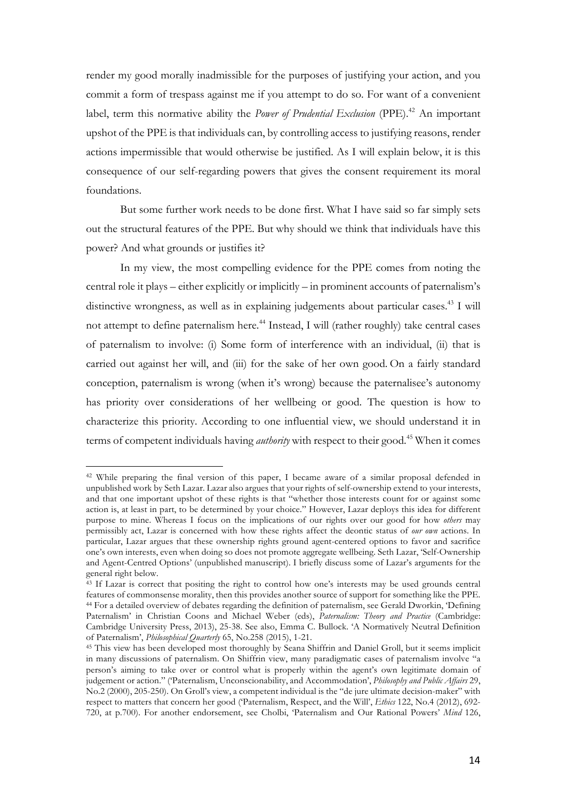render my good morally inadmissible for the purposes of justifying your action, and you commit a form of trespass against me if you attempt to do so. For want of a convenient label, term this normative ability the *Power of Prudential Exclusion* (PPE).<sup>42</sup> An important upshot of the PPE is that individuals can, by controlling access to justifying reasons, render actions impermissible that would otherwise be justified. As I will explain below, it is this consequence of our self-regarding powers that gives the consent requirement its moral foundations.

But some further work needs to be done first. What I have said so far simply sets out the structural features of the PPE. But why should we think that individuals have this power? And what grounds or justifies it?

In my view, the most compelling evidence for the PPE comes from noting the central role it plays – either explicitly or implicitly – in prominent accounts of paternalism's distinctive wrongness, as well as in explaining judgements about particular cases.<sup>43</sup> I will not attempt to define paternalism here. <sup>44</sup> Instead, I will (rather roughly) take central cases of paternalism to involve: (i) Some form of interference with an individual, (ii) that is carried out against her will, and (iii) for the sake of her own good. On a fairly standard conception, paternalism is wrong (when it's wrong) because the paternalisee's autonomy has priority over considerations of her wellbeing or good. The question is how to characterize this priority. According to one influential view, we should understand it in terms of competent individuals having *authority* with respect to their good.<sup>45</sup> When it comes

<sup>42</sup> While preparing the final version of this paper, I became aware of a similar proposal defended in unpublished work by Seth Lazar. Lazar also argues that your rights of self-ownership extend to your interests, and that one important upshot of these rights is that "whether those interests count for or against some action is, at least in part, to be determined by your choice." However, Lazar deploys this idea for different purpose to mine. Whereas I focus on the implications of our rights over our good for how *others* may permissibly act, Lazar is concerned with how these rights affect the deontic status of *our own* actions. In particular, Lazar argues that these ownership rights ground agent-centered options to favor and sacrifice one's own interests, even when doing so does not promote aggregate wellbeing. Seth Lazar, 'Self-Ownership and Agent-Centred Options' (unpublished manuscript). I briefly discuss some of Lazar's arguments for the general right below.

<sup>43</sup> If Lazar is correct that positing the right to control how one's interests may be used grounds central features of commonsense morality, then this provides another source of support for something like the PPE. 44 For a detailed overview of debates regarding the definition of paternalism, see Gerald Dworkin, 'Defining Paternalism' in Christian Coons and Michael Weber (eds), *Paternalism: Theory and Practice* (Cambridge: Cambridge University Press, 2013), 25-38. See also, Emma C. Bullock. 'A Normatively Neutral Definition of Paternalism', *Philosophical Quarterly* 65, No.258 (2015), 1-21.

<sup>45</sup> This view has been developed most thoroughly by Seana Shiffrin and Daniel Groll, but it seems implicit in many discussions of paternalism. On Shiffrin view, many paradigmatic cases of paternalism involve "a person's aiming to take over or control what is properly within the agent's own legitimate domain of judgement or action." ('Paternalism, Unconscionability, and Accommodation', *Philosophy and Public Affairs* 29, No.2 (2000), 205-250). On Groll's view, a competent individual is the "de jure ultimate decision-maker" with respect to matters that concern her good ('Paternalism, Respect, and the Will', *Ethics* 122, No.4 (2012), 692- 720, at p.700). For another endorsement, see Cholbi, 'Paternalism and Our Rational Powers' *Mind* 126,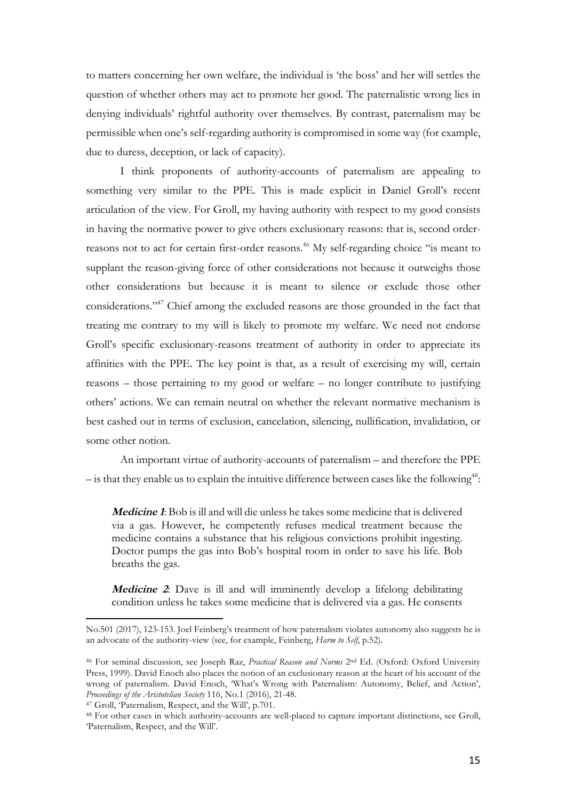to matters concerning her own welfare, the individual is 'the boss' and her will settles the question of whether others may act to promote her good. The paternalistic wrong lies in denying individuals' rightful authority over themselves. By contrast, paternalism may be permissible when one's self-regarding authority is compromised in some way (for example, due to duress, deception, or lack of capacity).

I think proponents of authority-accounts of paternalism are appealing to something very similar to the PPE. This is made explicit in Daniel Groll's recent articulation of the view. For Groll, my having authority with respect to my good consists in having the normative power to give others exclusionary reasons: that is, second orderreasons not to act for certain first-order reasons.<sup>46</sup> My self-regarding choice "is meant to supplant the reason-giving force of other considerations not because it outweighs those other considerations but because it is meant to silence or exclude those other considerations."47 Chief among the excluded reasons are those grounded in the fact that treating me contrary to my will is likely to promote my welfare. We need not endorse Groll's specific exclusionary-reasons treatment of authority in order to appreciate its affinities with the PPE. The key point is that, as a result of exercising my will, certain reasons – those pertaining to my good or welfare – no longer contribute to justifying others' actions. We can remain neutral on whether the relevant normative mechanism is best cashed out in terms of exclusion, cancelation, silencing, nullification, invalidation, or some other notion.

An important virtue of authority-accounts of paternalism – and therefore the PPE  $-$  is that they enable us to explain the intuitive difference between cases like the following<sup>48</sup>:

**Medicine 1**: Bob is ill and will die unless he takes some medicine that is delivered via a gas. However, he competently refuses medical treatment because the medicine contains a substance that his religious convictions prohibit ingesting. Doctor pumps the gas into Bob's hospital room in order to save his life. Bob breaths the gas.

**Medicine 2**: Dave is ill and will imminently develop a lifelong debilitating condition unless he takes some medicine that is delivered via a gas. He consents

No.501 (2017), 123-153. Joel Feinberg's treatment of how paternalism violates autonomy also suggests he is an advocate of the authority-view (see, for example, Feinberg, *Harm to Self*, p.52).

<sup>46</sup> For seminal discussion, see Joseph Raz, *Practical Reason and Norms* 2nd Ed. (Oxford: Oxford University Press, 1999). David Enoch also places the notion of an exclusionary reason at the heart of his account of the wrong of paternalism. David Enoch, 'What's Wrong with Paternalism: Autonomy, Belief, and Action', *Proceedings of the Aristotelian Society* 116, No.1 (2016), 21-48.

<sup>47</sup> Groll, 'Paternalism, Respect, and the Will', p.701.

<sup>48</sup> For other cases in which authority-accounts are well-placed to capture important distinctions, see Groll, 'Paternalism, Respect, and the Will'.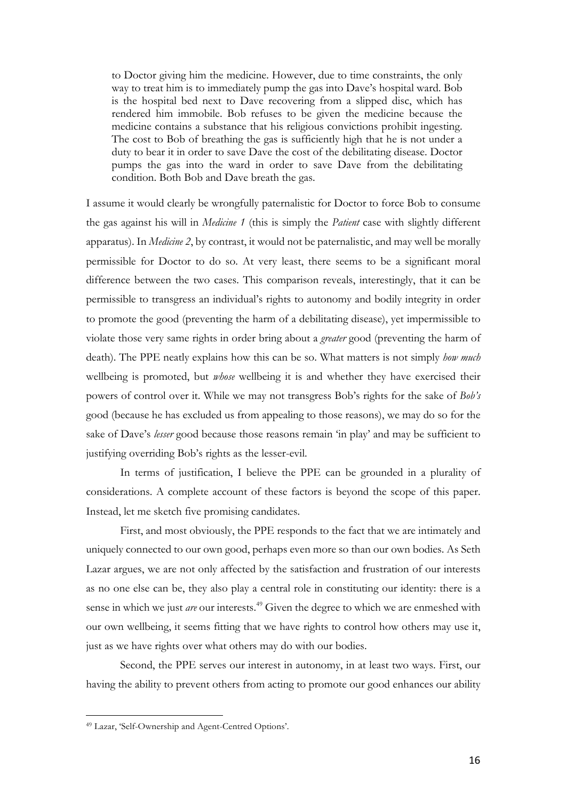to Doctor giving him the medicine. However, due to time constraints, the only way to treat him is to immediately pump the gas into Dave's hospital ward. Bob is the hospital bed next to Dave recovering from a slipped disc, which has rendered him immobile. Bob refuses to be given the medicine because the medicine contains a substance that his religious convictions prohibit ingesting. The cost to Bob of breathing the gas is sufficiently high that he is not under a duty to bear it in order to save Dave the cost of the debilitating disease. Doctor pumps the gas into the ward in order to save Dave from the debilitating condition. Both Bob and Dave breath the gas.

I assume it would clearly be wrongfully paternalistic for Doctor to force Bob to consume the gas against his will in *Medicine 1* (this is simply the *Patient* case with slightly different apparatus). In *Medicine 2*, by contrast, it would not be paternalistic, and may well be morally permissible for Doctor to do so. At very least, there seems to be a significant moral difference between the two cases. This comparison reveals, interestingly, that it can be permissible to transgress an individual's rights to autonomy and bodily integrity in order to promote the good (preventing the harm of a debilitating disease), yet impermissible to violate those very same rights in order bring about a *greater* good (preventing the harm of death). The PPE neatly explains how this can be so. What matters is not simply *how much* wellbeing is promoted, but *whose* wellbeing it is and whether they have exercised their powers of control over it. While we may not transgress Bob's rights for the sake of *Bob's* good (because he has excluded us from appealing to those reasons), we may do so for the sake of Dave's *lesser* good because those reasons remain 'in play' and may be sufficient to justifying overriding Bob's rights as the lesser-evil.

In terms of justification, I believe the PPE can be grounded in a plurality of considerations. A complete account of these factors is beyond the scope of this paper. Instead, let me sketch five promising candidates.

First, and most obviously, the PPE responds to the fact that we are intimately and uniquely connected to our own good, perhaps even more so than our own bodies. As Seth Lazar argues, we are not only affected by the satisfaction and frustration of our interests as no one else can be, they also play a central role in constituting our identity: there is a sense in which we just *are* our interests.<sup>49</sup> Given the degree to which we are enmeshed with our own wellbeing, it seems fitting that we have rights to control how others may use it, just as we have rights over what others may do with our bodies.

Second, the PPE serves our interest in autonomy, in at least two ways. First, our having the ability to prevent others from acting to promote our good enhances our ability

<sup>49</sup> Lazar, 'Self-Ownership and Agent-Centred Options'.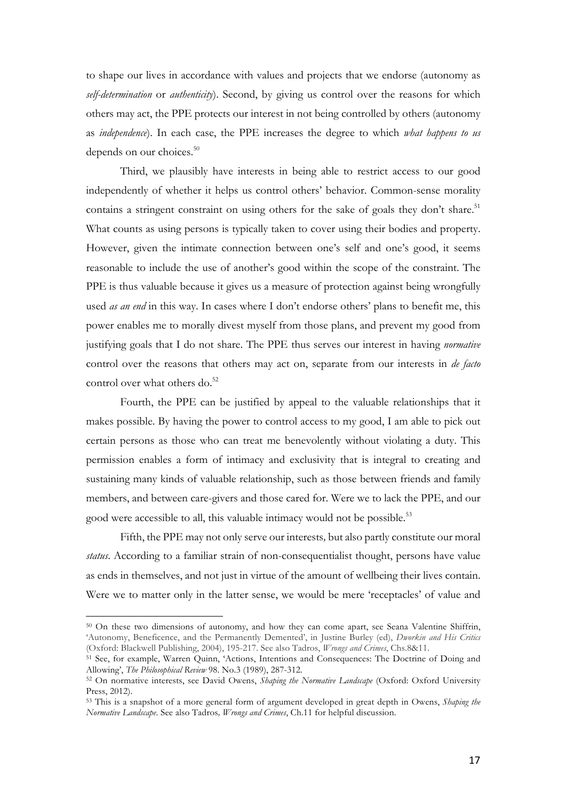to shape our lives in accordance with values and projects that we endorse (autonomy as *self-determination* or *authenticity*). Second, by giving us control over the reasons for which others may act, the PPE protects our interest in not being controlled by others (autonomy as *independence*). In each case, the PPE increases the degree to which *what happens to us* depends on our choices.<sup>50</sup>

Third, we plausibly have interests in being able to restrict access to our good independently of whether it helps us control others' behavior. Common-sense morality contains a stringent constraint on using others for the sake of goals they don't share.<sup>51</sup> What counts as using persons is typically taken to cover using their bodies and property. However, given the intimate connection between one's self and one's good, it seems reasonable to include the use of another's good within the scope of the constraint. The PPE is thus valuable because it gives us a measure of protection against being wrongfully used *as an end* in this way. In cases where I don't endorse others' plans to benefit me, this power enables me to morally divest myself from those plans, and prevent my good from justifying goals that I do not share. The PPE thus serves our interest in having *normative* control over the reasons that others may act on, separate from our interests in *de facto* control over what others do.<sup>52</sup>

Fourth, the PPE can be justified by appeal to the valuable relationships that it makes possible. By having the power to control access to my good, I am able to pick out certain persons as those who can treat me benevolently without violating a duty. This permission enables a form of intimacy and exclusivity that is integral to creating and sustaining many kinds of valuable relationship, such as those between friends and family members, and between care-givers and those cared for. Were we to lack the PPE, and our good were accessible to all, this valuable intimacy would not be possible.<sup>53</sup>

Fifth, the PPE may not only serve our interests*,* but also partly constitute our moral *status*. According to a familiar strain of non-consequentialist thought, persons have value as ends in themselves, and not just in virtue of the amount of wellbeing their lives contain. Were we to matter only in the latter sense, we would be mere 'receptacles' of value and

<sup>50</sup> On these two dimensions of autonomy, and how they can come apart, see Seana Valentine Shiffrin, 'Autonomy, Beneficence, and the Permanently Demented', in Justine Burley (ed), *Dworkin and His Critics* (Oxford: Blackwell Publishing, 2004), 195-217. See also Tadros, *Wrongs and Crimes*, Chs.8&11.

<sup>51</sup> See, for example, Warren Quinn, 'Actions, Intentions and Consequences: The Doctrine of Doing and Allowing', *The Philosophical Review* 98. No.3 (1989), 287-312.

<sup>52</sup> On normative interests, see David Owens, *Shaping the Normative Landscape* (Oxford: Oxford University Press, 2012).

<sup>53</sup> This is a snapshot of a more general form of argument developed in great depth in Owens, *Shaping the Normative Landscape*. See also Tadros*, Wrongs and Crimes*, Ch.11 for helpful discussion.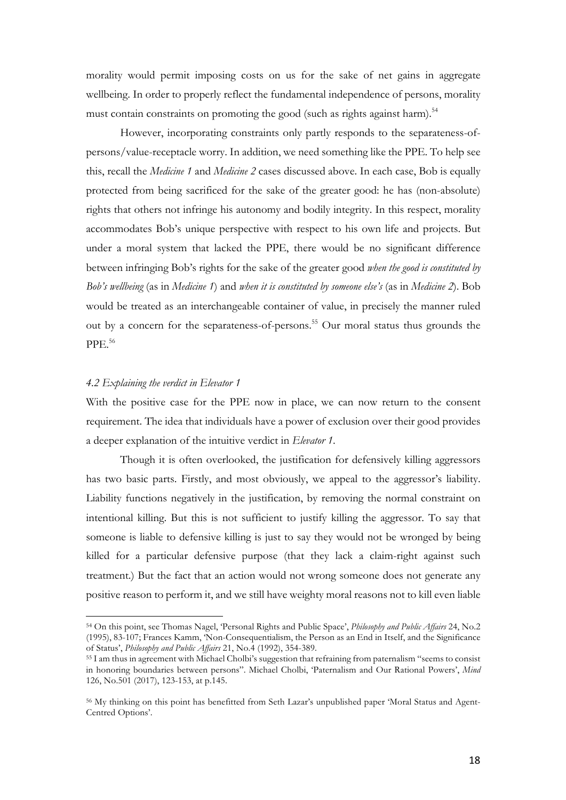morality would permit imposing costs on us for the sake of net gains in aggregate wellbeing. In order to properly reflect the fundamental independence of persons, morality must contain constraints on promoting the good (such as rights against harm).<sup>54</sup>

However, incorporating constraints only partly responds to the separateness-ofpersons/value-receptacle worry. In addition, we need something like the PPE. To help see this, recall the *Medicine 1* and *Medicine 2* cases discussed above. In each case, Bob is equally protected from being sacrificed for the sake of the greater good: he has (non-absolute) rights that others not infringe his autonomy and bodily integrity. In this respect, morality accommodates Bob's unique perspective with respect to his own life and projects. But under a moral system that lacked the PPE, there would be no significant difference between infringing Bob's rights for the sake of the greater good *when the good is constituted by Bob's wellbeing* (as in *Medicine 1*) and *when it is constituted by someone else's* (as in *Medicine 2*). Bob would be treated as an interchangeable container of value, in precisely the manner ruled out by a concern for the separateness-of-persons.<sup>55</sup> Our moral status thus grounds the PPE.56

## *4.2 Explaining the verdict in Elevator 1*

 

With the positive case for the PPE now in place, we can now return to the consent requirement. The idea that individuals have a power of exclusion over their good provides a deeper explanation of the intuitive verdict in *Elevator 1*.

Though it is often overlooked, the justification for defensively killing aggressors has two basic parts. Firstly, and most obviously, we appeal to the aggressor's liability. Liability functions negatively in the justification, by removing the normal constraint on intentional killing. But this is not sufficient to justify killing the aggressor. To say that someone is liable to defensive killing is just to say they would not be wronged by being killed for a particular defensive purpose (that they lack a claim-right against such treatment.) But the fact that an action would not wrong someone does not generate any positive reason to perform it, and we still have weighty moral reasons not to kill even liable

<sup>54</sup> On this point, see Thomas Nagel, 'Personal Rights and Public Space', *Philosophy and Public Affairs* 24, No.2 (1995), 83-107; Frances Kamm, 'Non-Consequentialism, the Person as an End in Itself, and the Significance of Status', *Philosophy and Public Affairs* 21, No.4 (1992), 354-389.

<sup>55</sup> I am thus in agreement with Michael Cholbi's suggestion that refraining from paternalism "seems to consist in honoring boundaries between persons". Michael Cholbi, 'Paternalism and Our Rational Powers', *Mind*  126, No.501 (2017), 123-153, at p.145.

<sup>56</sup> My thinking on this point has benefitted from Seth Lazar's unpublished paper 'Moral Status and Agent-Centred Options'.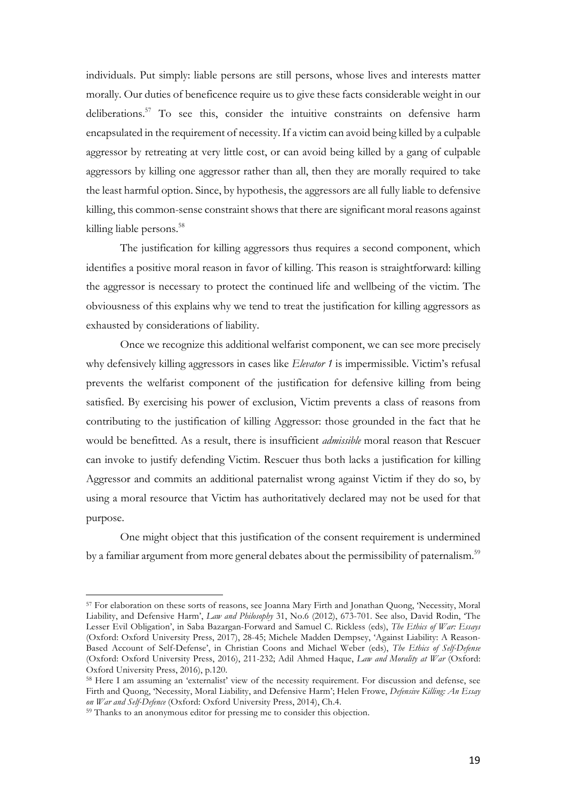individuals. Put simply: liable persons are still persons, whose lives and interests matter morally. Our duties of beneficence require us to give these facts considerable weight in our deliberations.<sup>57</sup> To see this, consider the intuitive constraints on defensive harm encapsulated in the requirement of necessity. If a victim can avoid being killed by a culpable aggressor by retreating at very little cost, or can avoid being killed by a gang of culpable aggressors by killing one aggressor rather than all, then they are morally required to take the least harmful option. Since, by hypothesis, the aggressors are all fully liable to defensive killing, this common-sense constraint shows that there are significant moral reasons against killing liable persons.<sup>58</sup>

The justification for killing aggressors thus requires a second component, which identifies a positive moral reason in favor of killing. This reason is straightforward: killing the aggressor is necessary to protect the continued life and wellbeing of the victim. The obviousness of this explains why we tend to treat the justification for killing aggressors as exhausted by considerations of liability.

Once we recognize this additional welfarist component, we can see more precisely why defensively killing aggressors in cases like *Elevator 1* is impermissible. Victim's refusal prevents the welfarist component of the justification for defensive killing from being satisfied. By exercising his power of exclusion, Victim prevents a class of reasons from contributing to the justification of killing Aggressor: those grounded in the fact that he would be benefitted. As a result, there is insufficient *admissible* moral reason that Rescuer can invoke to justify defending Victim. Rescuer thus both lacks a justification for killing Aggressor and commits an additional paternalist wrong against Victim if they do so, by using a moral resource that Victim has authoritatively declared may not be used for that purpose.

One might object that this justification of the consent requirement is undermined by a familiar argument from more general debates about the permissibility of paternalism.<sup>59</sup>

<sup>57</sup> For elaboration on these sorts of reasons, see Joanna Mary Firth and Jonathan Quong, 'Necessity, Moral Liability, and Defensive Harm', *Law and Philosophy* 31, No.6 (2012), 673-701. See also, David Rodin, 'The Lesser Evil Obligation', in Saba Bazargan-Forward and Samuel C. Rickless (eds), *The Ethics of War: Essays* (Oxford: Oxford University Press, 2017), 28-45; Michele Madden Dempsey, 'Against Liability: A Reason-Based Account of Self-Defense', in Christian Coons and Michael Weber (eds), *The Ethics of Self-Defense* (Oxford: Oxford University Press, 2016), 211-232; Adil Ahmed Haque, *Law and Morality at War* (Oxford: Oxford University Press, 2016), p.120.

<sup>58</sup> Here I am assuming an 'externalist' view of the necessity requirement. For discussion and defense, see Firth and Quong, 'Necessity, Moral Liability, and Defensive Harm'; Helen Frowe, *Defensive Killing: An Essay* 

<sup>&</sup>lt;sup>59</sup> Thanks to an anonymous editor for pressing me to consider this objection.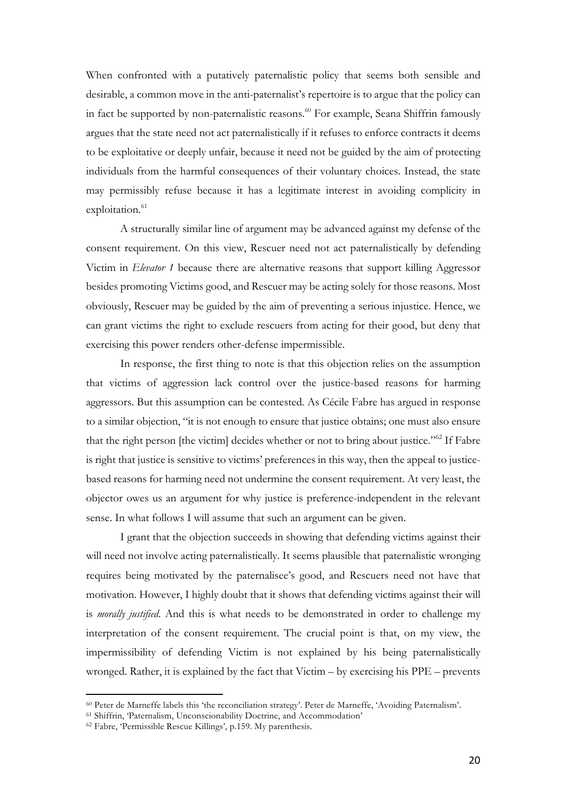When confronted with a putatively paternalistic policy that seems both sensible and desirable, a common move in the anti-paternalist's repertoire is to argue that the policy can in fact be supported by non-paternalistic reasons.<sup>60</sup> For example, Seana Shiffrin famously argues that the state need not act paternalistically if it refuses to enforce contracts it deems to be exploitative or deeply unfair, because it need not be guided by the aim of protecting individuals from the harmful consequences of their voluntary choices. Instead, the state may permissibly refuse because it has a legitimate interest in avoiding complicity in exploitation.<sup>61</sup>

A structurally similar line of argument may be advanced against my defense of the consent requirement. On this view, Rescuer need not act paternalistically by defending Victim in *Elevator 1* because there are alternative reasons that support killing Aggressor besides promoting Victims good, and Rescuer may be acting solely for those reasons. Most obviously, Rescuer may be guided by the aim of preventing a serious injustice. Hence, we can grant victims the right to exclude rescuers from acting for their good, but deny that exercising this power renders other-defense impermissible.

In response, the first thing to note is that this objection relies on the assumption that victims of aggression lack control over the justice-based reasons for harming aggressors. But this assumption can be contested. As Cécile Fabre has argued in response to a similar objection, "it is not enough to ensure that justice obtains; one must also ensure that the right person [the victim] decides whether or not to bring about justice."<sup>62</sup> If Fabre is right that justice is sensitive to victims' preferences in this way, then the appeal to justicebased reasons for harming need not undermine the consent requirement. At very least, the objector owes us an argument for why justice is preference-independent in the relevant sense. In what follows I will assume that such an argument can be given.

I grant that the objection succeeds in showing that defending victims against their will need not involve acting paternalistically. It seems plausible that paternalistic wronging requires being motivated by the paternalisee's good, and Rescuers need not have that motivation. However, I highly doubt that it shows that defending victims against their will is *morally justified*. And this is what needs to be demonstrated in order to challenge my interpretation of the consent requirement. The crucial point is that, on my view, the impermissibility of defending Victim is not explained by his being paternalistically wronged. Rather, it is explained by the fact that Victim – by exercising his PPE – prevents

<sup>60</sup> Peter de Marneffe labels this 'the reconciliation strategy'. Peter de Marneffe, 'Avoiding Paternalism'.

<sup>61</sup> Shiffrin, 'Paternalism, Unconscionability Doctrine, and Accommodation'

<sup>62</sup> Fabre, 'Permissible Rescue Killings', p.159. My parenthesis.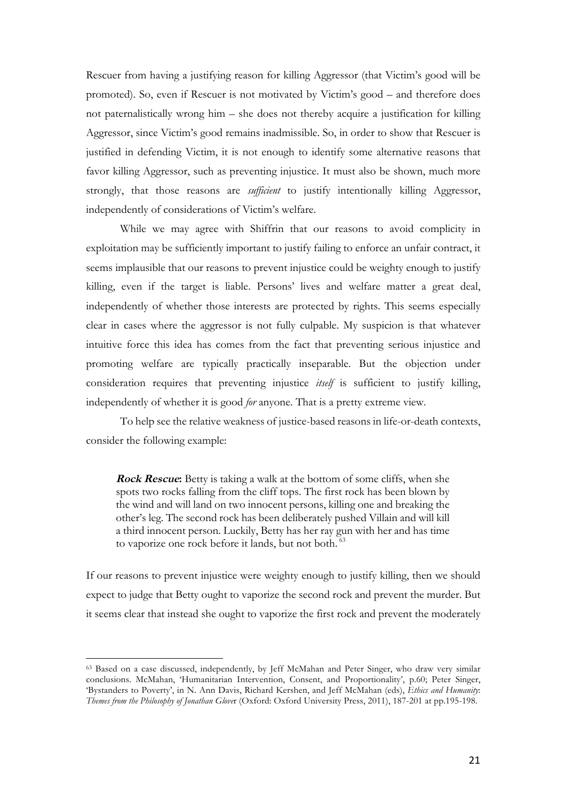Rescuer from having a justifying reason for killing Aggressor (that Victim's good will be promoted). So, even if Rescuer is not motivated by Victim's good – and therefore does not paternalistically wrong him – she does not thereby acquire a justification for killing Aggressor, since Victim's good remains inadmissible. So, in order to show that Rescuer is justified in defending Victim, it is not enough to identify some alternative reasons that favor killing Aggressor, such as preventing injustice. It must also be shown, much more strongly, that those reasons are *sufficient* to justify intentionally killing Aggressor, independently of considerations of Victim's welfare.

While we may agree with Shiffrin that our reasons to avoid complicity in exploitation may be sufficiently important to justify failing to enforce an unfair contract, it seems implausible that our reasons to prevent injustice could be weighty enough to justify killing, even if the target is liable. Persons' lives and welfare matter a great deal, independently of whether those interests are protected by rights. This seems especially clear in cases where the aggressor is not fully culpable. My suspicion is that whatever intuitive force this idea has comes from the fact that preventing serious injustice and promoting welfare are typically practically inseparable. But the objection under consideration requires that preventing injustice *itself* is sufficient to justify killing, independently of whether it is good *for* anyone. That is a pretty extreme view.

To help see the relative weakness of justice-based reasons in life-or-death contexts, consider the following example:

**Rock Rescue:** Betty is taking a walk at the bottom of some cliffs, when she spots two rocks falling from the cliff tops. The first rock has been blown by the wind and will land on two innocent persons, killing one and breaking the other's leg. The second rock has been deliberately pushed Villain and will kill a third innocent person. Luckily, Betty has her ray gun with her and has time to vaporize one rock before it lands, but not both. <sup>63</sup>

If our reasons to prevent injustice were weighty enough to justify killing, then we should expect to judge that Betty ought to vaporize the second rock and prevent the murder. But it seems clear that instead she ought to vaporize the first rock and prevent the moderately

<sup>63</sup> Based on a case discussed, independently, by Jeff McMahan and Peter Singer, who draw very similar conclusions. McMahan, 'Humanitarian Intervention, Consent, and Proportionality', p.60; Peter Singer, 'Bystanders to Poverty', in N. Ann Davis, Richard Kershen, and Jeff McMahan (eds), *Ethics and Humanity*: *Themes from the Philosophy of Jonathan Glove*r (Oxford: Oxford University Press, 2011), 187-201 at pp.195-198.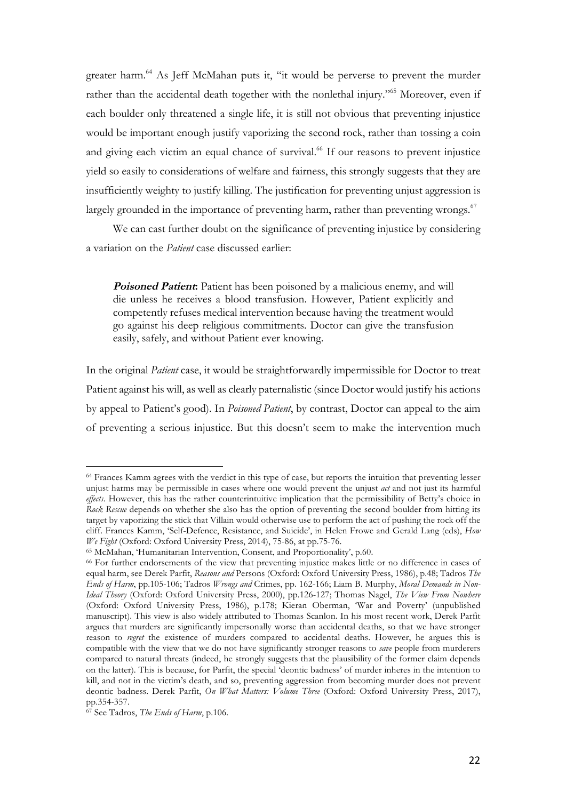greater harm.<sup>64</sup> As Jeff McMahan puts it, "it would be perverse to prevent the murder rather than the accidental death together with the nonlethal injury."<sup>65</sup> Moreover, even if each boulder only threatened a single life, it is still not obvious that preventing injustice would be important enough justify vaporizing the second rock, rather than tossing a coin and giving each victim an equal chance of survival.<sup>66</sup> If our reasons to prevent injustice yield so easily to considerations of welfare and fairness, this strongly suggests that they are insufficiently weighty to justify killing. The justification for preventing unjust aggression is largely grounded in the importance of preventing harm, rather than preventing wrongs. $67$ 

We can cast further doubt on the significance of preventing injustice by considering a variation on the *Patient* case discussed earlier:

**Poisoned Patient:** Patient has been poisoned by a malicious enemy, and will die unless he receives a blood transfusion. However, Patient explicitly and competently refuses medical intervention because having the treatment would go against his deep religious commitments. Doctor can give the transfusion easily, safely, and without Patient ever knowing.

In the original *Patient* case, it would be straightforwardly impermissible for Doctor to treat Patient against his will, as well as clearly paternalistic (since Doctor would justify his actions by appeal to Patient's good). In *Poisoned Patient*, by contrast, Doctor can appeal to the aim of preventing a serious injustice. But this doesn't seem to make the intervention much

<sup>&</sup>lt;sup>64</sup> Frances Kamm agrees with the verdict in this type of case, but reports the intuition that preventing lesser unjust harms may be permissible in cases where one would prevent the unjust *act* and not just its harmful *effects*. However, this has the rather counterintuitive implication that the permissibility of Betty's choice in *Rock Rescue* depends on whether she also has the option of preventing the second boulder from hitting its target by vaporizing the stick that Villain would otherwise use to perform the act of pushing the rock off the cliff. Frances Kamm, 'Self-Defence, Resistance, and Suicide', in Helen Frowe and Gerald Lang (eds), *How We Fight* (Oxford: Oxford University Press, 2014), 75-86, at pp.75-76.

<sup>65</sup> McMahan, 'Humanitarian Intervention, Consent, and Proportionality', p.60.

<sup>66</sup> For further endorsements of the view that preventing injustice makes little or no difference in cases of equal harm, see Derek Parfit, *Reasons and* Persons (Oxford: Oxford University Press, 1986), p.48; Tadros *The Ends of Harm*, pp.105-106; Tadros *Wrongs and* Crimes, pp. 162-166; Liam B. Murphy, *Moral Demands in Non-Ideal Theory* (Oxford: Oxford University Press, 2000), pp.126-127; Thomas Nagel, *The View From Nowhere* (Oxford: Oxford University Press, 1986), p.178; Kieran Oberman, 'War and Poverty' (unpublished manuscript). This view is also widely attributed to Thomas Scanlon. In his most recent work, Derek Parfit argues that murders are significantly impersonally worse than accidental deaths, so that we have stronger reason to *regret* the existence of murders compared to accidental deaths. However, he argues this is compatible with the view that we do not have significantly stronger reasons to *save* people from murderers compared to natural threats (indeed, he strongly suggests that the plausibility of the former claim depends on the latter). This is because, for Parfit, the special 'deontic badness' of murder inheres in the intention to kill, and not in the victim's death, and so, preventing aggression from becoming murder does not prevent deontic badness. Derek Parfit, *On What Matters: Volume Three* (Oxford: Oxford University Press, 2017), pp.354-357.

<sup>67</sup> See Tadros, *The Ends of Harm*, p.106.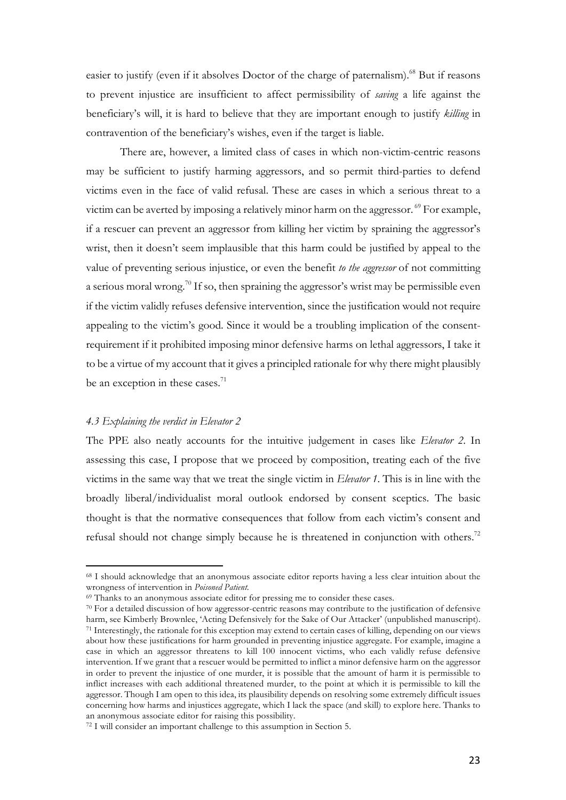easier to justify (even if it absolves Doctor of the charge of paternalism).<sup>68</sup> But if reasons to prevent injustice are insufficient to affect permissibility of *saving* a life against the beneficiary's will, it is hard to believe that they are important enough to justify *killing* in contravention of the beneficiary's wishes, even if the target is liable.

There are, however, a limited class of cases in which non-victim-centric reasons may be sufficient to justify harming aggressors, and so permit third-parties to defend victims even in the face of valid refusal. These are cases in which a serious threat to a victim can be averted by imposing a relatively minor harm on the aggressor.  $\mathcal{P}$  For example, if a rescuer can prevent an aggressor from killing her victim by spraining the aggressor's wrist, then it doesn't seem implausible that this harm could be justified by appeal to the value of preventing serious injustice, or even the benefit *to the aggressor* of not committing a serious moral wrong.<sup>70</sup> If so, then spraining the aggressor's wrist may be permissible even if the victim validly refuses defensive intervention, since the justification would not require appealing to the victim's good. Since it would be a troubling implication of the consentrequirement if it prohibited imposing minor defensive harms on lethal aggressors, I take it to be a virtue of my account that it gives a principled rationale for why there might plausibly be an exception in these cases. $^{71}$ 

# *4.3 Explaining the verdict in Elevator 2*

 

The PPE also neatly accounts for the intuitive judgement in cases like *Elevator 2*. In assessing this case, I propose that we proceed by composition, treating each of the five victims in the same way that we treat the single victim in *Elevator 1*. This is in line with the broadly liberal/individualist moral outlook endorsed by consent sceptics. The basic thought is that the normative consequences that follow from each victim's consent and refusal should not change simply because he is threatened in conjunction with others.<sup>72</sup>

<sup>68</sup> I should acknowledge that an anonymous associate editor reports having a less clear intuition about the wrongness of intervention in *Poisoned Patient*.<br><sup>69</sup> Thanks to an anonymous associate editor for pressing me to consider these cases.

<sup>70</sup> For a detailed discussion of how aggressor-centric reasons may contribute to the justification of defensive harm, see Kimberly Brownlee, 'Acting Defensively for the Sake of Our Attacker' (unpublished manuscript). <sup>71</sup> Interestingly, the rationale for this exception may extend to certain cases of killing, depending on our views about how these justifications for harm grounded in preventing injustice aggregate. For example, imagine a case in which an aggressor threatens to kill 100 innocent victims, who each validly refuse defensive intervention. If we grant that a rescuer would be permitted to inflict a minor defensive harm on the aggressor in order to prevent the injustice of one murder, it is possible that the amount of harm it is permissible to inflict increases with each additional threatened murder, to the point at which it is permissible to kill the aggressor. Though I am open to this idea, its plausibility depends on resolving some extremely difficult issues concerning how harms and injustices aggregate, which I lack the space (and skill) to explore here. Thanks to an anonymous associate editor for raising this possibility.

<sup>72</sup> I will consider an important challenge to this assumption in Section 5.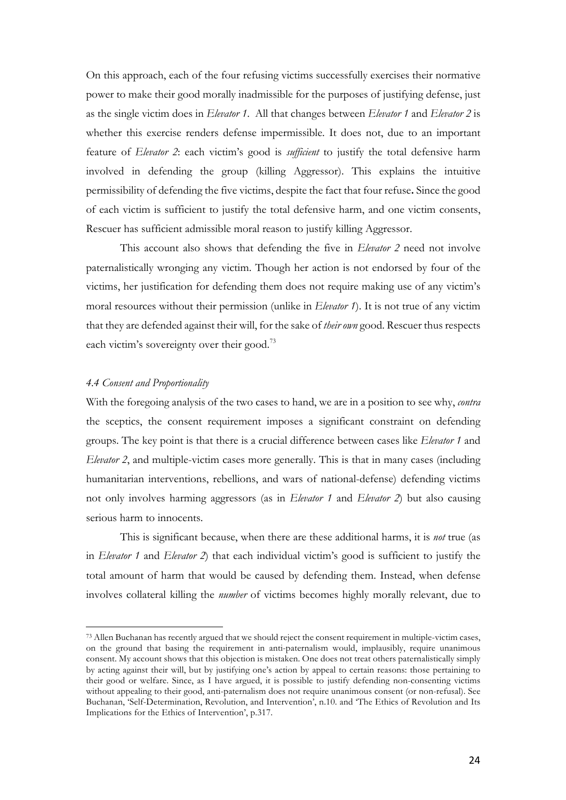On this approach, each of the four refusing victims successfully exercises their normative power to make their good morally inadmissible for the purposes of justifying defense, just as the single victim does in *Elevator 1*. All that changes between *Elevator 1* and *Elevator 2* is whether this exercise renders defense impermissible. It does not, due to an important feature of *Elevator 2*: each victim's good is *sufficient* to justify the total defensive harm involved in defending the group (killing Aggressor). This explains the intuitive permissibility of defending the five victims, despite the fact that four refuse**.** Since the good of each victim is sufficient to justify the total defensive harm, and one victim consents, Rescuer has sufficient admissible moral reason to justify killing Aggressor.

This account also shows that defending the five in *Elevator 2* need not involve paternalistically wronging any victim. Though her action is not endorsed by four of the victims, her justification for defending them does not require making use of any victim's moral resources without their permission (unlike in *Elevator 1*). It is not true of any victim that they are defended against their will, for the sake of *their own* good. Rescuer thus respects each victim's sovereignty over their good.<sup>73</sup>

#### *4.4 Consent and Proportionality*

 

With the foregoing analysis of the two cases to hand, we are in a position to see why, *contra*  the sceptics, the consent requirement imposes a significant constraint on defending groups. The key point is that there is a crucial difference between cases like *Elevator 1* and *Elevator 2*, and multiple-victim cases more generally. This is that in many cases (including humanitarian interventions, rebellions, and wars of national-defense) defending victims not only involves harming aggressors (as in *Elevator 1* and *Elevator 2*) but also causing serious harm to innocents.

This is significant because, when there are these additional harms, it is *not* true (as in *Elevator 1* and *Elevator 2*) that each individual victim's good is sufficient to justify the total amount of harm that would be caused by defending them. Instead, when defense involves collateral killing the *number* of victims becomes highly morally relevant, due to

<sup>73</sup> Allen Buchanan has recently argued that we should reject the consent requirement in multiple-victim cases, on the ground that basing the requirement in anti-paternalism would, implausibly, require unanimous consent. My account shows that this objection is mistaken. One does not treat others paternalistically simply by acting against their will, but by justifying one's action by appeal to certain reasons: those pertaining to their good or welfare. Since, as I have argued, it is possible to justify defending non-consenting victims without appealing to their good, anti-paternalism does not require unanimous consent (or non-refusal). See Buchanan, 'Self-Determination, Revolution, and Intervention', n.10. and 'The Ethics of Revolution and Its Implications for the Ethics of Intervention', p.317.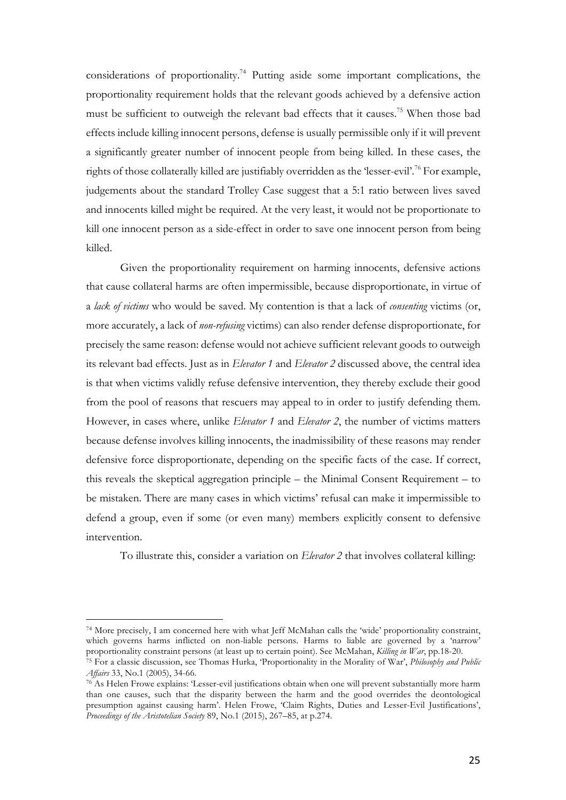considerations of proportionality.<sup>74</sup> Putting aside some important complications, the proportionality requirement holds that the relevant goods achieved by a defensive action must be sufficient to outweigh the relevant bad effects that it causes.75 When those bad effects include killing innocent persons, defense is usually permissible only if it will prevent a significantly greater number of innocent people from being killed. In these cases, the rights of those collaterally killed are justifiably overridden as the 'lesser-evil'.<sup>76</sup> For example, judgements about the standard Trolley Case suggest that a 5:1 ratio between lives saved and innocents killed might be required. At the very least, it would not be proportionate to kill one innocent person as a side-effect in order to save one innocent person from being killed.

Given the proportionality requirement on harming innocents, defensive actions that cause collateral harms are often impermissible, because disproportionate, in virtue of a *lack of victims* who would be saved. My contention is that a lack of *consenting* victims (or, more accurately, a lack of *non-refusing* victims) can also render defense disproportionate, for precisely the same reason: defense would not achieve sufficient relevant goods to outweigh its relevant bad effects. Just as in *Elevator 1* and *Elevator 2* discussed above, the central idea is that when victims validly refuse defensive intervention, they thereby exclude their good from the pool of reasons that rescuers may appeal to in order to justify defending them. However, in cases where, unlike *Elevator 1* and *Elevator 2*, the number of victims matters because defense involves killing innocents, the inadmissibility of these reasons may render defensive force disproportionate, depending on the specific facts of the case. If correct, this reveals the skeptical aggregation principle – the Minimal Consent Requirement – to be mistaken. There are many cases in which victims' refusal can make it impermissible to defend a group, even if some (or even many) members explicitly consent to defensive intervention.

To illustrate this, consider a variation on *Elevator 2* that involves collateral killing:

<sup>74</sup> More precisely, I am concerned here with what Jeff McMahan calls the 'wide' proportionality constraint, which governs harms inflicted on non-liable persons. Harms to liable are governed by a 'narrow' proportionality constraint persons (at least up to certain point). See McMahan, *Killing in War*, pp.18-20.

<sup>75</sup> For a classic discussion, see Thomas Hurka, 'Proportionality in the Morality of War', *Philosophy and Public Affairs* 33, No.1 (2005), 34-66.

<sup>76</sup> As Helen Frowe explains: 'Lesser-evil justifications obtain when one will prevent substantially more harm than one causes, such that the disparity between the harm and the good overrides the deontological presumption against causing harm'. Helen Frowe, 'Claim Rights, Duties and Lesser-Evil Justifications', *Proceedings of the Aristotelian Society* 89, No.1 (2015), 267–85, at p.274.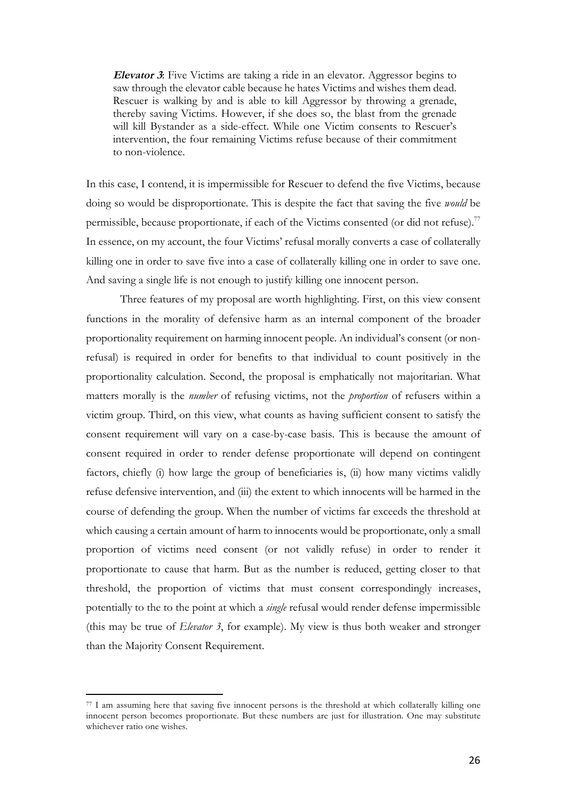**Elevator 3**: Five Victims are taking a ride in an elevator. Aggressor begins to saw through the elevator cable because he hates Victims and wishes them dead. Rescuer is walking by and is able to kill Aggressor by throwing a grenade, thereby saving Victims. However, if she does so, the blast from the grenade will kill Bystander as a side-effect. While one Victim consents to Rescuer's intervention, the four remaining Victims refuse because of their commitment to non-violence.

In this case, I contend, it is impermissible for Rescuer to defend the five Victims, because doing so would be disproportionate. This is despite the fact that saving the five *would* be permissible, because proportionate, if each of the Victims consented (or did not refuse).<sup>77</sup> In essence, on my account, the four Victims' refusal morally converts a case of collaterally killing one in order to save five into a case of collaterally killing one in order to save one. And saving a single life is not enough to justify killing one innocent person.

Three features of my proposal are worth highlighting. First, on this view consent functions in the morality of defensive harm as an internal component of the broader proportionality requirement on harming innocent people. An individual's consent (or nonrefusal) is required in order for benefits to that individual to count positively in the proportionality calculation. Second, the proposal is emphatically not majoritarian. What matters morally is the *number* of refusing victims, not the *proportion* of refusers within a victim group. Third, on this view, what counts as having sufficient consent to satisfy the consent requirement will vary on a case-by-case basis. This is because the amount of consent required in order to render defense proportionate will depend on contingent factors, chiefly (i) how large the group of beneficiaries is, (ii) how many victims validly refuse defensive intervention, and (iii) the extent to which innocents will be harmed in the course of defending the group. When the number of victims far exceeds the threshold at which causing a certain amount of harm to innocents would be proportionate, only a small proportion of victims need consent (or not validly refuse) in order to render it proportionate to cause that harm. But as the number is reduced, getting closer to that threshold, the proportion of victims that must consent correspondingly increases, potentially to the to the point at which a *single* refusal would render defense impermissible (this may be true of *Elevator 3*, for example). My view is thus both weaker and stronger than the Majority Consent Requirement.

<sup>77</sup> I am assuming here that saving five innocent persons is the threshold at which collaterally killing one innocent person becomes proportionate. But these numbers are just for illustration. One may substitute whichever ratio one wishes.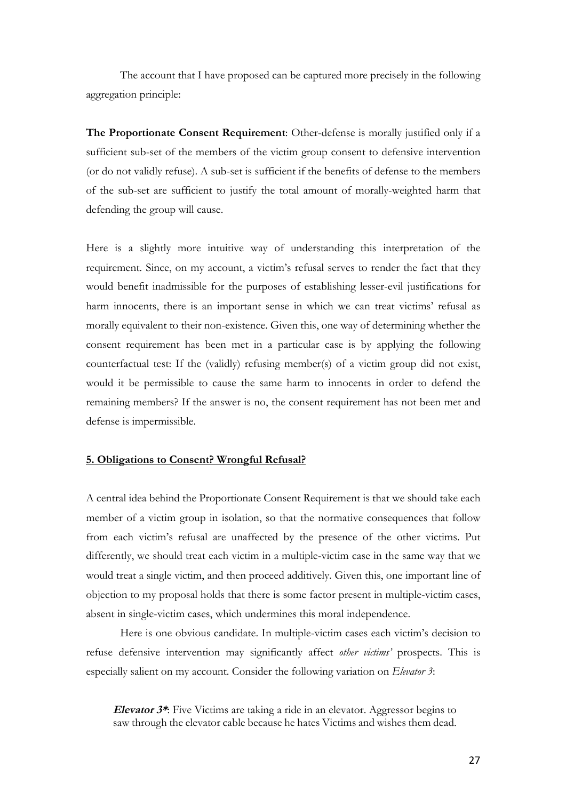The account that I have proposed can be captured more precisely in the following aggregation principle:

**The Proportionate Consent Requirement**: Other-defense is morally justified only if a sufficient sub-set of the members of the victim group consent to defensive intervention (or do not validly refuse). A sub-set is sufficient if the benefits of defense to the members of the sub-set are sufficient to justify the total amount of morally-weighted harm that defending the group will cause.

Here is a slightly more intuitive way of understanding this interpretation of the requirement. Since, on my account, a victim's refusal serves to render the fact that they would benefit inadmissible for the purposes of establishing lesser-evil justifications for harm innocents, there is an important sense in which we can treat victims' refusal as morally equivalent to their non-existence. Given this, one way of determining whether the consent requirement has been met in a particular case is by applying the following counterfactual test: If the (validly) refusing member(s) of a victim group did not exist, would it be permissible to cause the same harm to innocents in order to defend the remaining members? If the answer is no, the consent requirement has not been met and defense is impermissible.

#### **5. Obligations to Consent? Wrongful Refusal?**

A central idea behind the Proportionate Consent Requirement is that we should take each member of a victim group in isolation, so that the normative consequences that follow from each victim's refusal are unaffected by the presence of the other victims. Put differently, we should treat each victim in a multiple-victim case in the same way that we would treat a single victim, and then proceed additively. Given this, one important line of objection to my proposal holds that there is some factor present in multiple-victim cases, absent in single-victim cases, which undermines this moral independence.

Here is one obvious candidate. In multiple-victim cases each victim's decision to refuse defensive intervention may significantly affect *other victims'* prospects. This is especially salient on my account. Consider the following variation on *Elevator 3*:

**Elevator 3\***: Five Victims are taking a ride in an elevator. Aggressor begins to saw through the elevator cable because he hates Victims and wishes them dead.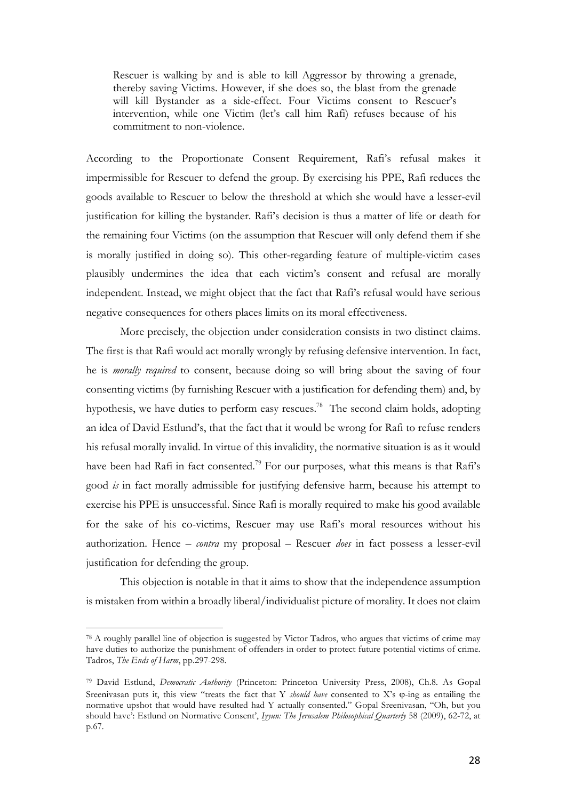Rescuer is walking by and is able to kill Aggressor by throwing a grenade, thereby saving Victims. However, if she does so, the blast from the grenade will kill Bystander as a side-effect. Four Victims consent to Rescuer's intervention, while one Victim (let's call him Rafi) refuses because of his commitment to non-violence.

According to the Proportionate Consent Requirement, Rafi's refusal makes it impermissible for Rescuer to defend the group. By exercising his PPE, Rafi reduces the goods available to Rescuer to below the threshold at which she would have a lesser-evil justification for killing the bystander. Rafi's decision is thus a matter of life or death for the remaining four Victims (on the assumption that Rescuer will only defend them if she is morally justified in doing so). This other-regarding feature of multiple-victim cases plausibly undermines the idea that each victim's consent and refusal are morally independent. Instead, we might object that the fact that Rafi's refusal would have serious negative consequences for others places limits on its moral effectiveness.

More precisely, the objection under consideration consists in two distinct claims. The first is that Rafi would act morally wrongly by refusing defensive intervention. In fact, he is *morally required* to consent, because doing so will bring about the saving of four consenting victims (by furnishing Rescuer with a justification for defending them) and, by hypothesis, we have duties to perform easy rescues.<sup>78</sup> The second claim holds, adopting an idea of David Estlund's, that the fact that it would be wrong for Rafi to refuse renders his refusal morally invalid. In virtue of this invalidity, the normative situation is as it would have been had Rafi in fact consented.<sup>79</sup> For our purposes, what this means is that Rafi's good *is* in fact morally admissible for justifying defensive harm, because his attempt to exercise his PPE is unsuccessful. Since Rafi is morally required to make his good available for the sake of his co-victims, Rescuer may use Rafi's moral resources without his authorization. Hence – *contra* my proposal – Rescuer *does* in fact possess a lesser-evil justification for defending the group.

This objection is notable in that it aims to show that the independence assumption is mistaken from within a broadly liberal/individualist picture of morality. It does not claim

<sup>78</sup> A roughly parallel line of objection is suggested by Victor Tadros, who argues that victims of crime may have duties to authorize the punishment of offenders in order to protect future potential victims of crime. Tadros, *The Ends of Harm*, pp.297-298.

<sup>79</sup> David Estlund, *Democratic Authority* (Princeton: Princeton University Press, 2008), Ch.8. As Gopal Sreenivasan puts it, this view "treats the fact that Y *should have* consented to X's  $\varphi$ -ing as entailing the normative upshot that would have resulted had Y actually consented." Gopal Sreenivasan, ''Oh, but you should have': Estlund on Normative Consent', *Iyyun: The Jerusalem Philosophical Quarterly* 58 (2009), 62-72, at p.67.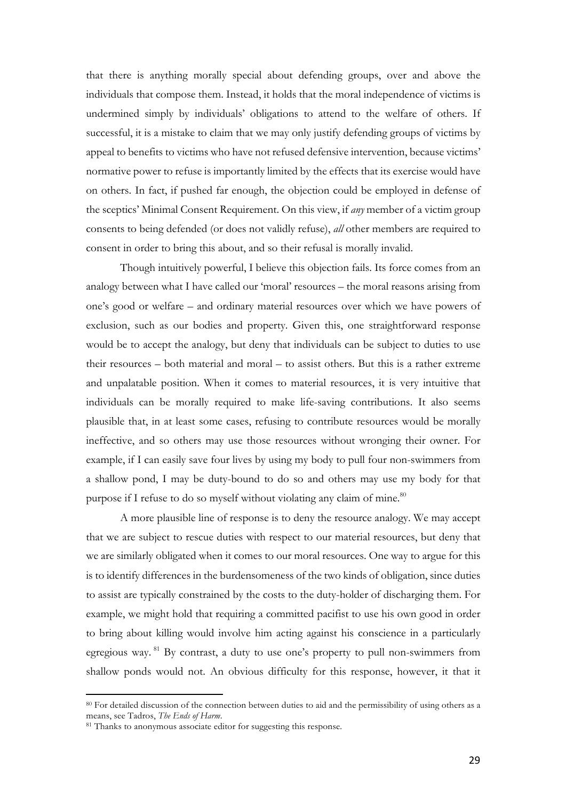that there is anything morally special about defending groups, over and above the individuals that compose them. Instead, it holds that the moral independence of victims is undermined simply by individuals' obligations to attend to the welfare of others. If successful, it is a mistake to claim that we may only justify defending groups of victims by appeal to benefits to victims who have not refused defensive intervention, because victims' normative power to refuse is importantly limited by the effects that its exercise would have on others. In fact, if pushed far enough, the objection could be employed in defense of the sceptics' Minimal Consent Requirement. On this view, if *any* member of a victim group consents to being defended (or does not validly refuse), *all* other members are required to consent in order to bring this about, and so their refusal is morally invalid.

Though intuitively powerful, I believe this objection fails. Its force comes from an analogy between what I have called our 'moral' resources – the moral reasons arising from one's good or welfare – and ordinary material resources over which we have powers of exclusion, such as our bodies and property. Given this, one straightforward response would be to accept the analogy, but deny that individuals can be subject to duties to use their resources – both material and moral – to assist others. But this is a rather extreme and unpalatable position. When it comes to material resources, it is very intuitive that individuals can be morally required to make life-saving contributions. It also seems plausible that, in at least some cases, refusing to contribute resources would be morally ineffective, and so others may use those resources without wronging their owner. For example, if I can easily save four lives by using my body to pull four non-swimmers from a shallow pond, I may be duty-bound to do so and others may use my body for that purpose if I refuse to do so myself without violating any claim of mine. $80$ 

A more plausible line of response is to deny the resource analogy. We may accept that we are subject to rescue duties with respect to our material resources, but deny that we are similarly obligated when it comes to our moral resources. One way to argue for this is to identify differences in the burdensomeness of the two kinds of obligation, since duties to assist are typically constrained by the costs to the duty-holder of discharging them. For example, we might hold that requiring a committed pacifist to use his own good in order to bring about killing would involve him acting against his conscience in a particularly egregious way. <sup>81</sup> By contrast, a duty to use one's property to pull non-swimmers from shallow ponds would not. An obvious difficulty for this response, however, it that it

<sup>80</sup> For detailed discussion of the connection between duties to aid and the permissibility of using others as a means, see Tadros, *The Ends of Harm*.

<sup>&</sup>lt;sup>81</sup> Thanks to anonymous associate editor for suggesting this response.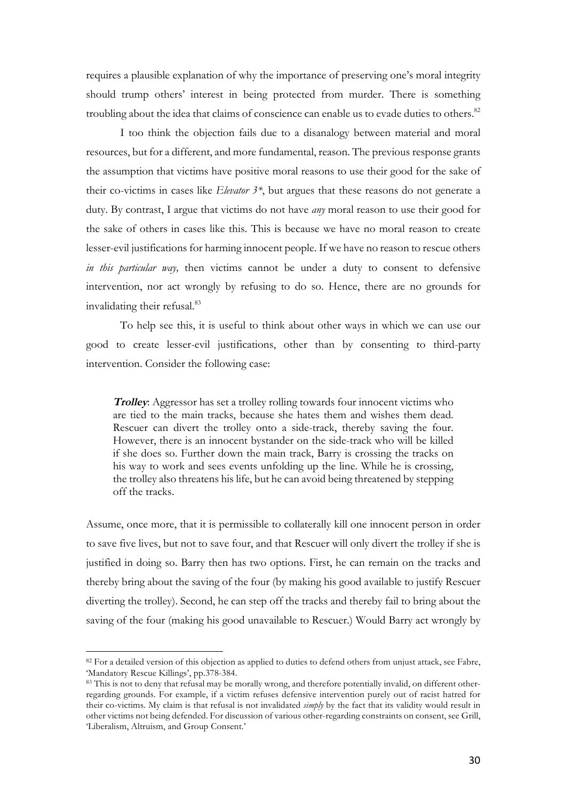requires a plausible explanation of why the importance of preserving one's moral integrity should trump others' interest in being protected from murder. There is something troubling about the idea that claims of conscience can enable us to evade duties to others.<sup>82</sup>

I too think the objection fails due to a disanalogy between material and moral resources, but for a different, and more fundamental, reason. The previous response grants the assumption that victims have positive moral reasons to use their good for the sake of their co-victims in cases like *Elevator 3\**, but argues that these reasons do not generate a duty. By contrast, I argue that victims do not have *any* moral reason to use their good for the sake of others in cases like this. This is because we have no moral reason to create lesser-evil justifications for harming innocent people. If we have no reason to rescue others *in this particular way,* then victims cannot be under a duty to consent to defensive intervention, nor act wrongly by refusing to do so. Hence, there are no grounds for invalidating their refusal.<sup>83</sup>

To help see this, it is useful to think about other ways in which we can use our good to create lesser-evil justifications, other than by consenting to third-party intervention. Consider the following case:

**Trolley**: Aggressor has set a trolley rolling towards four innocent victims who are tied to the main tracks, because she hates them and wishes them dead. Rescuer can divert the trolley onto a side-track, thereby saving the four. However, there is an innocent bystander on the side-track who will be killed if she does so. Further down the main track, Barry is crossing the tracks on his way to work and sees events unfolding up the line. While he is crossing, the trolley also threatens his life, but he can avoid being threatened by stepping off the tracks.

Assume, once more, that it is permissible to collaterally kill one innocent person in order to save five lives, but not to save four, and that Rescuer will only divert the trolley if she is justified in doing so. Barry then has two options. First, he can remain on the tracks and thereby bring about the saving of the four (by making his good available to justify Rescuer diverting the trolley). Second, he can step off the tracks and thereby fail to bring about the saving of the four (making his good unavailable to Rescuer.) Would Barry act wrongly by

<sup>82</sup> For a detailed version of this objection as applied to duties to defend others from unjust attack, see Fabre, 'Mandatory Rescue Killings', pp.378-384.

<sup>83</sup> This is not to deny that refusal may be morally wrong, and therefore potentially invalid, on different otherregarding grounds. For example, if a victim refuses defensive intervention purely out of racist hatred for their co-victims. My claim is that refusal is not invalidated *simply* by the fact that its validity would result in other victims not being defended. For discussion of various other-regarding constraints on consent, see Grill, 'Liberalism, Altruism, and Group Consent.'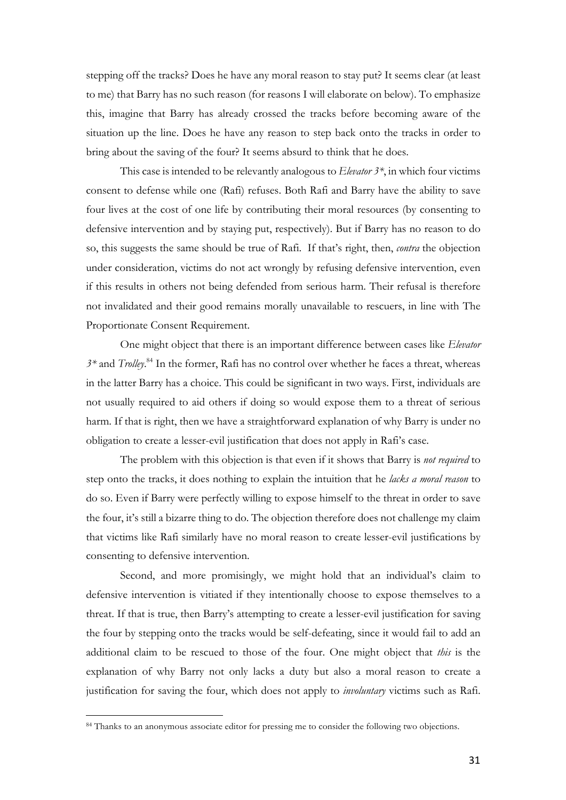stepping off the tracks? Does he have any moral reason to stay put? It seems clear (at least to me) that Barry has no such reason (for reasons I will elaborate on below). To emphasize this, imagine that Barry has already crossed the tracks before becoming aware of the situation up the line. Does he have any reason to step back onto the tracks in order to bring about the saving of the four? It seems absurd to think that he does.

This case is intended to be relevantly analogous to *Elevator 3\**, in which four victims consent to defense while one (Rafi) refuses. Both Rafi and Barry have the ability to save four lives at the cost of one life by contributing their moral resources (by consenting to defensive intervention and by staying put, respectively). But if Barry has no reason to do so, this suggests the same should be true of Rafi. If that's right, then, *contra* the objection under consideration, victims do not act wrongly by refusing defensive intervention, even if this results in others not being defended from serious harm. Their refusal is therefore not invalidated and their good remains morally unavailable to rescuers, in line with The Proportionate Consent Requirement.

One might object that there is an important difference between cases like *Elevator 3\** and *Trolley*. <sup>84</sup> In the former, Rafi has no control over whether he faces a threat, whereas in the latter Barry has a choice. This could be significant in two ways. First, individuals are not usually required to aid others if doing so would expose them to a threat of serious harm. If that is right, then we have a straightforward explanation of why Barry is under no obligation to create a lesser-evil justification that does not apply in Rafi's case.

The problem with this objection is that even if it shows that Barry is *not required* to step onto the tracks, it does nothing to explain the intuition that he *lacks a moral reason* to do so. Even if Barry were perfectly willing to expose himself to the threat in order to save the four, it's still a bizarre thing to do. The objection therefore does not challenge my claim that victims like Rafi similarly have no moral reason to create lesser-evil justifications by consenting to defensive intervention.

Second, and more promisingly, we might hold that an individual's claim to defensive intervention is vitiated if they intentionally choose to expose themselves to a threat. If that is true, then Barry's attempting to create a lesser-evil justification for saving the four by stepping onto the tracks would be self-defeating, since it would fail to add an additional claim to be rescued to those of the four. One might object that *this* is the explanation of why Barry not only lacks a duty but also a moral reason to create a justification for saving the four, which does not apply to *involuntary* victims such as Rafi.

<sup>84</sup> Thanks to an anonymous associate editor for pressing me to consider the following two objections.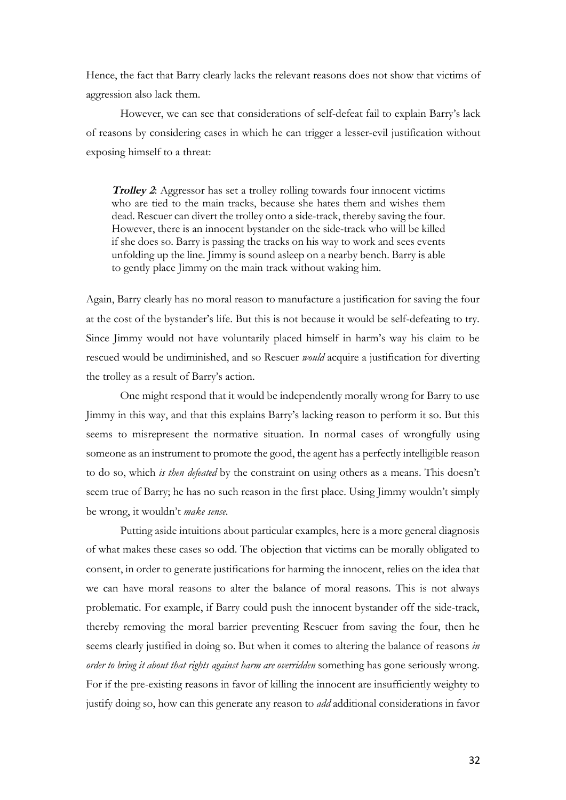Hence, the fact that Barry clearly lacks the relevant reasons does not show that victims of aggression also lack them.

However, we can see that considerations of self-defeat fail to explain Barry's lack of reasons by considering cases in which he can trigger a lesser-evil justification without exposing himself to a threat:

**Trolley 2**: Aggressor has set a trolley rolling towards four innocent victims who are tied to the main tracks, because she hates them and wishes them dead. Rescuer can divert the trolley onto a side-track, thereby saving the four. However, there is an innocent bystander on the side-track who will be killed if she does so. Barry is passing the tracks on his way to work and sees events unfolding up the line. Jimmy is sound asleep on a nearby bench. Barry is able to gently place Jimmy on the main track without waking him.

Again, Barry clearly has no moral reason to manufacture a justification for saving the four at the cost of the bystander's life. But this is not because it would be self-defeating to try. Since Jimmy would not have voluntarily placed himself in harm's way his claim to be rescued would be undiminished, and so Rescuer *would* acquire a justification for diverting the trolley as a result of Barry's action.

One might respond that it would be independently morally wrong for Barry to use Jimmy in this way, and that this explains Barry's lacking reason to perform it so. But this seems to misrepresent the normative situation. In normal cases of wrongfully using someone as an instrument to promote the good, the agent has a perfectly intelligible reason to do so, which *is then defeated* by the constraint on using others as a means. This doesn't seem true of Barry; he has no such reason in the first place. Using Jimmy wouldn't simply be wrong, it wouldn't *make sense*.

Putting aside intuitions about particular examples, here is a more general diagnosis of what makes these cases so odd. The objection that victims can be morally obligated to consent, in order to generate justifications for harming the innocent, relies on the idea that we can have moral reasons to alter the balance of moral reasons. This is not always problematic. For example, if Barry could push the innocent bystander off the side-track, thereby removing the moral barrier preventing Rescuer from saving the four, then he seems clearly justified in doing so. But when it comes to altering the balance of reasons *in order to bring it about that rights against harm are overridden* something has gone seriously wrong. For if the pre-existing reasons in favor of killing the innocent are insufficiently weighty to justify doing so, how can this generate any reason to *add* additional considerations in favor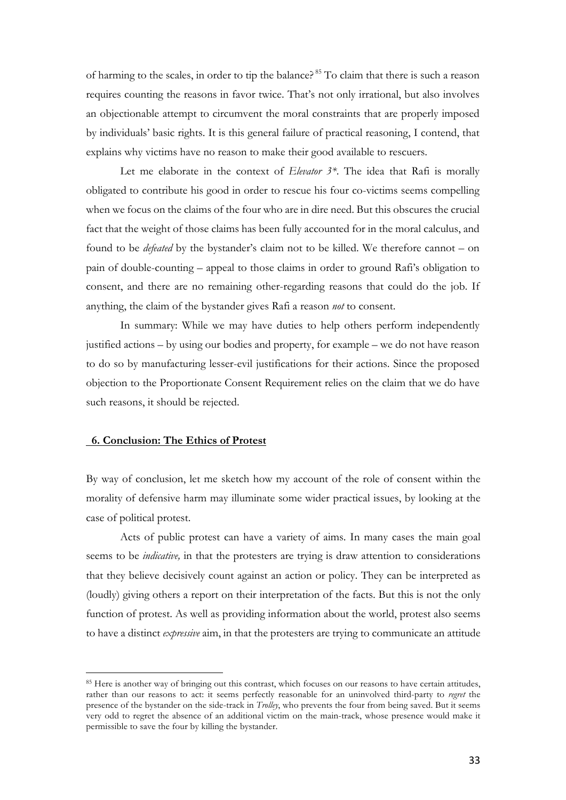of harming to the scales, in order to tip the balance? <sup>85</sup> To claim that there is such a reason requires counting the reasons in favor twice. That's not only irrational, but also involves an objectionable attempt to circumvent the moral constraints that are properly imposed by individuals' basic rights. It is this general failure of practical reasoning, I contend, that explains why victims have no reason to make their good available to rescuers.

Let me elaborate in the context of *Elevator 3\**. The idea that Rafi is morally obligated to contribute his good in order to rescue his four co-victims seems compelling when we focus on the claims of the four who are in dire need. But this obscures the crucial fact that the weight of those claims has been fully accounted for in the moral calculus, and found to be *defeated* by the bystander's claim not to be killed. We therefore cannot – on pain of double-counting – appeal to those claims in order to ground Rafi's obligation to consent, and there are no remaining other-regarding reasons that could do the job. If anything, the claim of the bystander gives Rafi a reason *not* to consent.

In summary: While we may have duties to help others perform independently justified actions – by using our bodies and property, for example – we do not have reason to do so by manufacturing lesser-evil justifications for their actions. Since the proposed objection to the Proportionate Consent Requirement relies on the claim that we do have such reasons, it should be rejected.

#### **6. Conclusion: The Ethics of Protest**

 

By way of conclusion, let me sketch how my account of the role of consent within the morality of defensive harm may illuminate some wider practical issues, by looking at the case of political protest.

Acts of public protest can have a variety of aims. In many cases the main goal seems to be *indicative,* in that the protesters are trying is draw attention to considerations that they believe decisively count against an action or policy. They can be interpreted as (loudly) giving others a report on their interpretation of the facts. But this is not the only function of protest. As well as providing information about the world, protest also seems to have a distinct *expressive* aim, in that the protesters are trying to communicate an attitude

<sup>85</sup> Here is another way of bringing out this contrast, which focuses on our reasons to have certain attitudes, rather than our reasons to act: it seems perfectly reasonable for an uninvolved third-party to *regret* the presence of the bystander on the side-track in *Trolley*, who prevents the four from being saved. But it seems very odd to regret the absence of an additional victim on the main-track, whose presence would make it permissible to save the four by killing the bystander.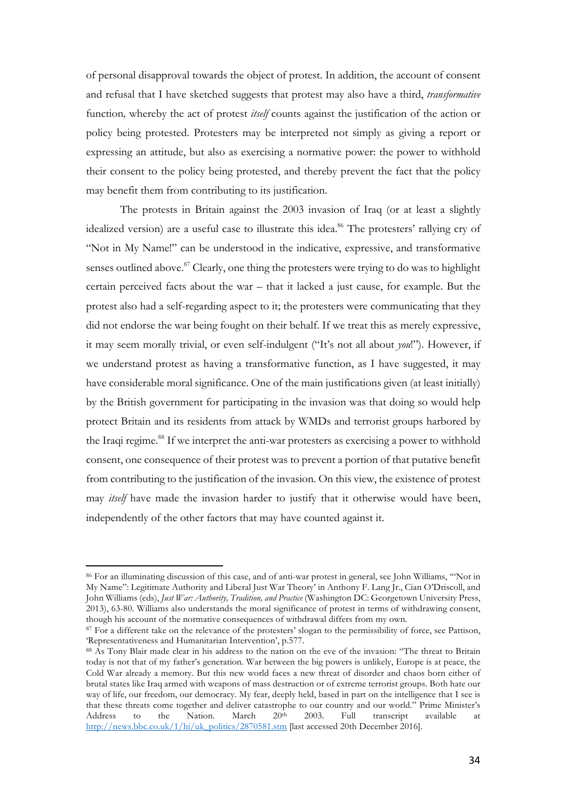of personal disapproval towards the object of protest. In addition, the account of consent and refusal that I have sketched suggests that protest may also have a third, *transformative*  function*,* whereby the act of protest *itself* counts against the justification of the action or policy being protested. Protesters may be interpreted not simply as giving a report or expressing an attitude, but also as exercising a normative power: the power to withhold their consent to the policy being protested, and thereby prevent the fact that the policy may benefit them from contributing to its justification.

The protests in Britain against the 2003 invasion of Iraq (or at least a slightly idealized version) are a useful case to illustrate this idea.<sup>86</sup> The protesters' rallying cry of "Not in My Name!" can be understood in the indicative, expressive, and transformative senses outlined above.<sup>87</sup> Clearly, one thing the protesters were trying to do was to highlight certain perceived facts about the war – that it lacked a just cause, for example. But the protest also had a self-regarding aspect to it; the protesters were communicating that they did not endorse the war being fought on their behalf. If we treat this as merely expressive, it may seem morally trivial, or even self-indulgent ("It's not all about *you*!"). However, if we understand protest as having a transformative function, as I have suggested, it may have considerable moral significance. One of the main justifications given (at least initially) by the British government for participating in the invasion was that doing so would help protect Britain and its residents from attack by WMDs and terrorist groups harbored by the Iraqi regime.<sup>88</sup> If we interpret the anti-war protesters as exercising a power to withhold consent, one consequence of their protest was to prevent a portion of that putative benefit from contributing to the justification of the invasion. On this view, the existence of protest may *itself* have made the invasion harder to justify that it otherwise would have been, independently of the other factors that may have counted against it.

<sup>86</sup> For an illuminating discussion of this case, and of anti-war protest in general, see John Williams, '"Not in My Name": Legitimate Authority and Liberal Just War Theory' in Anthony F. Lang Jr., Cian O'Driscoll, and John Williams (eds), *Just War: Authority, Tradition, and Practice* (Washington DC: Georgetown University Press, 2013), 63-80. Williams also understands the moral significance of protest in terms of withdrawing consent, though his account of the normative consequences of withdrawal differs from my own.

<sup>&</sup>lt;sup>87</sup> For a different take on the relevance of the protesters' slogan to the permissibility of force, see Pattison, 'Representativeness and Humanitarian Intervention', p.577.

<sup>88</sup> As Tony Blair made clear in his address to the nation on the eve of the invasion: "The threat to Britain today is not that of my father's generation. War between the big powers is unlikely, Europe is at peace, the Cold War already a memory. But this new world faces a new threat of disorder and chaos born either of brutal states like Iraq armed with weapons of mass destruction or of extreme terrorist groups. Both hate our way of life, our freedom, our democracy. My fear, deeply held, based in part on the intelligence that I see is that these threats come together and deliver catastrophe to our country and our world." Prime Minister's Address to the Nation. March  $20<sup>th</sup>$  2003. Full transcript available at http://news.bbc.co.uk/1/hi/uk\_politics/2870581.stm [last accessed 20th December 2016].